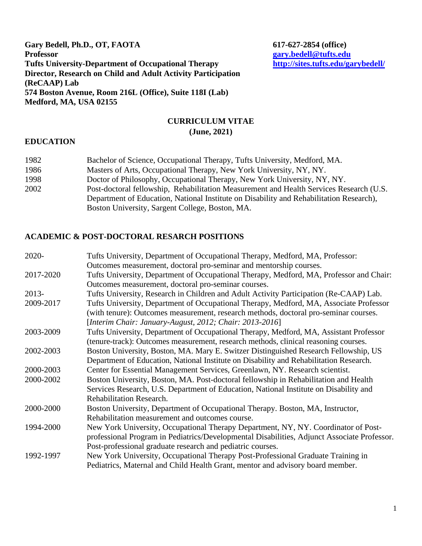# **Gary Bedell, Ph.D., OT, FAOTA** 617-627-2854 (office)<br> **Professor Tufts University-Department of Occupational Therapy Director, Research on Child and Adult Activity Participation (ReCAAP) Lab 574 Boston Avenue, Room 216L (Office), Suite 118I (Lab) Medford, MA, USA 02155**

# **Professor [gary.bedell@tufts.edu](mailto:gary.bedell@tufts.edu)**

## **CURRICULUM VITAE (June, 2021)**

## **EDUCATION**

| 1982 | Bachelor of Science, Occupational Therapy, Tufts University, Medford, MA.               |
|------|-----------------------------------------------------------------------------------------|
| 1986 | Masters of Arts, Occupational Therapy, New York University, NY, NY.                     |
| 1998 | Doctor of Philosophy, Occupational Therapy, New York University, NY, NY.                |
| 2002 | Post-doctoral fellowship, Rehabilitation Measurement and Health Services Research (U.S. |
|      | Department of Education, National Institute on Disability and Rehabilitation Research), |
|      | Boston University, Sargent College, Boston, MA.                                         |

# **ACADEMIC & POST-DOCTORAL RESARCH POSITIONS**

| 2020-     | Tufts University, Department of Occupational Therapy, Medford, MA, Professor:               |
|-----------|---------------------------------------------------------------------------------------------|
|           | Outcomes measurement, doctoral pro-seminar and mentorship courses.                          |
| 2017-2020 | Tufts University, Department of Occupational Therapy, Medford, MA, Professor and Chair:     |
|           | Outcomes measurement, doctoral pro-seminar courses.                                         |
| $2013-$   | Tufts University, Research in Children and Adult Activity Participation (Re-CAAP) Lab.      |
| 2009-2017 | Tufts University, Department of Occupational Therapy, Medford, MA, Associate Professor      |
|           | (with tenure): Outcomes measurement, research methods, doctoral pro-seminar courses.        |
|           | [Interim Chair: January-August, 2012; Chair: 2013-2016]                                     |
| 2003-2009 | Tufts University, Department of Occupational Therapy, Medford, MA, Assistant Professor      |
|           | (tenure-track): Outcomes measurement, research methods, clinical reasoning courses.         |
| 2002-2003 | Boston University, Boston, MA. Mary E. Switzer Distinguished Research Fellowship, US        |
|           | Department of Education, National Institute on Disability and Rehabilitation Research.      |
| 2000-2003 | Center for Essential Management Services, Greenlawn, NY. Research scientist.                |
| 2000-2002 | Boston University, Boston, MA. Post-doctoral fellowship in Rehabilitation and Health        |
|           | Services Research, U.S. Department of Education, National Institute on Disability and       |
|           | Rehabilitation Research.                                                                    |
| 2000-2000 | Boston University, Department of Occupational Therapy. Boston, MA, Instructor,              |
|           | Rehabilitation measurement and outcomes course.                                             |
| 1994-2000 | New York University, Occupational Therapy Department, NY, NY. Coordinator of Post-          |
|           | professional Program in Pediatrics/Developmental Disabilities, Adjunct Associate Professor. |
|           | Post-professional graduate research and pediatric courses.                                  |
| 1992-1997 | New York University, Occupational Therapy Post-Professional Graduate Training in            |
|           | Pediatrics, Maternal and Child Health Grant, mentor and advisory board member.              |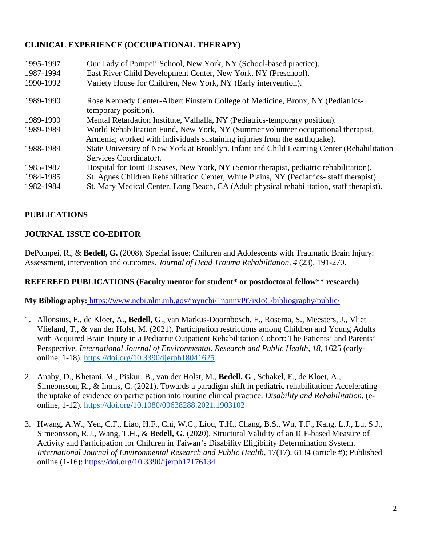# **CLINICAL EXPERIENCE (OCCUPATIONAL THERAPY)**

| 1995-1997<br>1987-1994<br>1990-1992 | Our Lady of Pompeii School, New York, NY (School-based practice).<br>East River Child Development Center, New York, NY (Preschool).<br>Variety House for Children, New York, NY (Early intervention). |
|-------------------------------------|-------------------------------------------------------------------------------------------------------------------------------------------------------------------------------------------------------|
| 1989-1990                           | Rose Kennedy Center-Albert Einstein College of Medicine, Bronx, NY (Pediatrics-<br>temporary position).                                                                                               |
| 1989-1990                           | Mental Retardation Institute, Valhalla, NY (Pediatrics-temporary position).                                                                                                                           |
| 1989-1989                           | World Rehabilitation Fund, New York, NY (Summer volunteer occupational therapist,                                                                                                                     |
|                                     | Armenia; worked with individuals sustaining injuries from the earthquake).                                                                                                                            |
| 1988-1989                           | State University of New York at Brooklyn. Infant and Child Learning Center (Rehabilitation                                                                                                            |
|                                     | Services Coordinator).                                                                                                                                                                                |
| 1985-1987                           | Hospital for Joint Diseases, New York, NY (Senior therapist, pediatric rehabilitation).                                                                                                               |
| 1984-1985                           | St. Agnes Children Rehabilitation Center, White Plains, NY (Pediatrics- staff therapist).                                                                                                             |
| 1982-1984                           | St. Mary Medical Center, Long Beach, CA (Adult physical rehabilitation, staff therapist).                                                                                                             |

# **PUBLICATIONS**

# **JOURNAL ISSUE CO-EDITOR**

DePompei, R., & **Bedell, G.** (2008). Special issue: Children and Adolescents with Traumatic Brain Injury: Assessment, intervention and outcomes. *Journal of Head Trauma Rehabilitation, 4* (23), 191-270.

## **REFEREED PUBLICATIONS (Faculty mentor for student\* or postdoctoral fellow\*\* research)**

**My Bibliography:**<https://www.ncbi.nlm.nih.gov/myncbi/1nannvPt7ixIoC/bibliography/public/>

- 1. Allonsius, F., de Kloet, A., **Bedell, G**., van Markus-Doornbosch, F., Rosema, S., Meesters, J., Vliet Vlieland, T., & van der Holst, M. (2021). Participation restrictions among Children and Young Adults with Acquired Brain Injury in a Pediatric Outpatient Rehabilitation Cohort: The Patients' and Parents' Perspective*. International Journal of Environmental. Research and Public Health, 18,* 1625 (earlyonline, 1-18).<https://doi.org/10.3390/ijerph18041625>
- 2. Anaby, D., Khetani, M., Piskur, B., van der Holst, M., **Bedell, G**., Schakel, F., de Kloet, A., Simeonsson, R., & Imms, C. (2021). Towards a paradigm shift in pediatric rehabilitation: Accelerating the uptake of evidence on participation into routine clinical practice. *Disability and Rehabilitation.* (eonline, 1-12).<https://doi.org/10.1080/09638288.2021.1903102>
- 3. Hwang, A.W., Yen, C.F., Liao, H.F., Chi, W.C., Liou, T.H., Chang, B.S., Wu, T.F., Kang, L.J., Lu, S.J., Simeonsson, R.J., Wang, T.H., & **Bedell, G.** (2020). Structural Validity of an ICF-based Measure of Activity and Participation for Children in Taiwan's Disability Eligibility Determination System. *International Journal of Environmental Research and Public Health, 17(17), 6134 (article #); Published* online (1-16)[: https://doi.org/10.3390/ijerph17176134](https://doi.org/10.3390/ijerph17176134)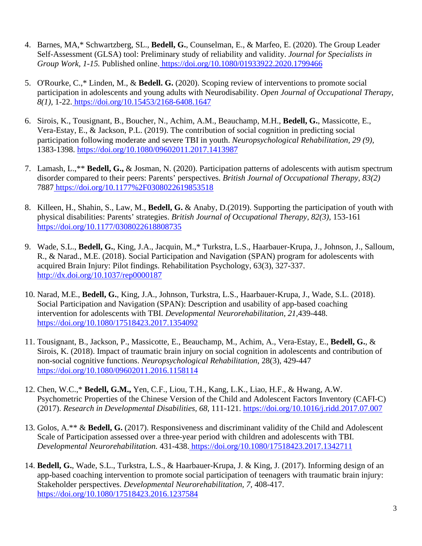- 4. Barnes, MA,\* Schwartzberg, SL., **Bedell, G.**, Counselman, E., & Marfeo, E. (2020). The Group Leader Self-Assessment (GLSA) tool: Preliminary study of reliability and validity. *Journal for Specialists in Group Work, 1-15.* Published online[. https://doi.org/10.1080/01933922.2020.1799466](https://doi.org/10.1080/01933922.2020.1799466)
- 5. O'Rourke, C.,\* Linden, M., & **Bedell. G.** (2020). Scoping review of interventions to promote social participation in adolescents and young adults with Neurodisability. *Open Journal of Occupational Therapy*, *8(1),* 1-22[. https://doi.org/10.15453/2168-6408.1647](https://doi.org/10.15453/2168-6408.1647)
- 6. Sirois, K., Tousignant, B., Boucher, N., Achim, A.M., Beauchamp, M.H., **Bedell, G.**, Massicotte, E., Vera-Estay, E., & Jackson, P.L. (2019). The contribution of social cognition in predicting social participation following moderate and severe TBI in youth. *Neuropsychological Rehabilitation, 29 (9),*  1383-1398.<https://doi.org/10.1080/09602011.2017.1413987>
- 7. Lamash, L.,\*\* **Bedell, G.,** & Josman, N. (2020). Participation patterns of adolescents with autism spectrum disorder compared to their peers: Parents' perspectives. *British Journal of Occupational Therapy, 83(2)*  788[7 https://doi.org/10.1177%2F0308022619853518](https://doi.org/10.1177%2F0308022619853518)
- 8. Killeen, H., Shahin, S., Law, M., **Bedell, G.** & Anaby, D.(2019). Supporting the participation of youth with physical disabilities: Parents' strategies. *British Journal of Occupational Therapy, 82(3),* 153-161 <https://doi.org/10.1177/0308022618808735>
- 9. Wade, S.L., **Bedell, G.**, King, J.A., Jacquin, M.,\* Turkstra, L.S., Haarbauer-Krupa, J., Johnson, J., Salloum, R., & Narad., M.E. (2018). Social Participation and Navigation (SPAN) program for adolescents with acquired Brain Injury: Pilot findings. Rehabilitation Psychology, 63(3), 327-337. <http://dx.doi.org/10.1037/rep0000187>
- 10. Narad, M.E., **Bedell, G.**, King, J.A., Johnson, Turkstra, L.S., Haarbauer-Krupa, J., Wade, S.L. (2018). Social Participation and Navigation (SPAN): Description and usability of app-based coaching intervention for adolescents with TBI. *Developmental Neurorehabilitation, 21,*439-448. <https://doi.org/10.1080/17518423.2017.1354092>
- 11. Tousignant, B., Jackson, P., Massicotte, E., Beauchamp, M., Achim, A., Vera-Estay, E., **Bedell, G.**, & Sirois, K. (2018). Impact of traumatic brain injury on social cognition in adolescents and contribution of non-social cognitive functions. *Neuropsychological Rehabilitation*, 28(3), 429-447 <https://doi.org/10.1080/09602011.2016.1158114>
- 12. Chen, W.C.,\* **Bedell, G.M.,** Yen, C.F., Liou, T.H., Kang, L.K., Liao, H.F., & Hwang, A.W. Psychometric Properties of the Chinese Version of the Child and Adolescent Factors Inventory (CAFI-C) (2017). *Research in Developmental Disabilities, 68,* 111-121. <https://doi.org/10.1016/j.ridd.2017.07.007>
- 13. Golos, A.\*\* & **Bedell, G.** (2017). Responsiveness and discriminant validity of the Child and Adolescent Scale of Participation assessed over a three-year period with children and adolescents with TBI. *Developmental Neurorehabilitation.* 431-438[. https://doi.org/10.1080/17518423.2017.1342711](https://doi.org/10.1080/17518423.2017.1342711)
- 14. **Bedell, G.**, Wade, S.L., Turkstra, L.S., & Haarbauer-Krupa, J. & King, J. (2017). Informing design of an app-based coaching intervention to promote social participation of teenagers with traumatic brain injury: Stakeholder perspectives. *Developmental Neurorehabilitation, 7,* 408-417. <https://doi.org/10.1080/17518423.2016.1237584>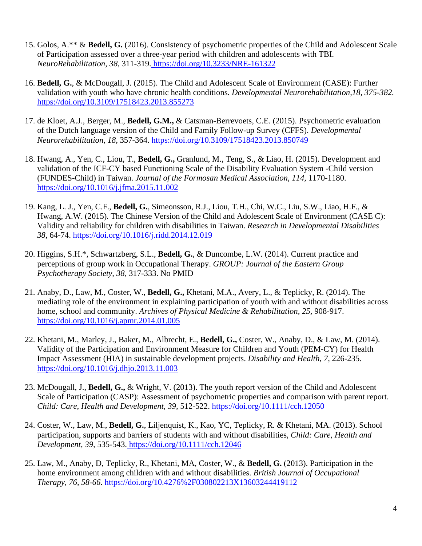- 15. Golos, A.\*\* & **Bedell, G.** (2016). Consistency of psychometric properties of the Child and Adolescent Scale of Participation assessed over a three-year period with children and adolescents with TBI. *NeuroRehabilitation, 38*, 311-319[. https://doi.org/10.3233/NRE-161322](https://doi.org/10.3233/NRE-161322)
- 16. **Bedell, G.**, & McDougall, J. (2015). The Child and Adolescent Scale of Environment (CASE): Further validation with youth who have chronic health conditions. *Developmental Neurorehabilitation,18, 375-382.*  <https://doi.org/10.3109/17518423.2013.855273>
- 17. de Kloet, A.J., Berger, M., **Bedell, G.M.,** & Catsman-Berrevoets, C.E. (2015). Psychometric evaluation of the Dutch language version of the Child and Family Follow-up Survey (CFFS). *Developmental Neurorehabilitation, 18,* 357-364[. https://doi.org/10.3109/17518423.2013.850749](https://doi.org/10.3109/17518423.2013.850749)
- 18. Hwang, A., Yen, C., Liou, T., **Bedell, G.,** Granlund, M., Teng, S., & Liao, H. (2015). Development and validation of the ICF-CY based Functioning Scale of the Disability Evaluation System -Child version (FUNDES-Child) in Taiwan. *Journal of the Formosan Medical Association, 114,* 1170-1180. <https://doi.org/10.1016/j.jfma.2015.11.002>
- 19. Kang, L. J., Yen, C.F., **Bedell, G.**, Simeonsson, R.J., Liou, T.H., Chi, W.C., Liu, S.W., Liao, H.F., & Hwang, A.W. (2015). The Chinese Version of the Child and Adolescent Scale of Environment (CASE C): Validity and reliability for children with disabilities in Taiwan. *Research in Developmental Disabilities 38,* 64-74[. https://doi.org/10.1016/j.ridd.2014.12.019](https://doi.org/10.1016/j.ridd.2014.12.019)
- 20. Higgins, S.H.\*, Schwartzberg, S.L., **Bedell, G.**, & Duncombe, L.W. (2014). Current practice and perceptions of group work in Occupational Therapy. *GROUP: Journal of the Eastern Group Psychotherapy Society, 38,* 317-333. No PMID
- 21. Anaby, D., Law, M., Coster, W., **Bedell, G.,** Khetani, M.A., Avery, L., & Teplicky, R. (2014). The mediating role of the environment in explaining participation of youth with and without disabilities across home, school and community. *Archives of Physical Medicine & Rehabilitation*, 25, 908-917. <https://doi.org/10.1016/j.apmr.2014.01.005>
- 22. Khetani, M., Marley, J., Baker, M., Albrecht, E., **Bedell, G.,** Coster, W., Anaby, D., & Law, M. (2014). Validity of the Participation and Environment Measure for Children and Youth (PEM-CY) for Health Impact Assessment (HIA) in sustainable development projects. *Disability and Health, 7,* 226-235*.*  <https://doi.org/10.1016/j.dhjo.2013.11.003>
- 23. McDougall, J., **Bedell, G.,** & Wright, V. (2013). The youth report version of the Child and Adolescent Scale of Participation (CASP): Assessment of psychometric properties and comparison with parent report. *Child: Care, Health and Development, 39,* 512-522[. https://doi.org/10.1111/cch.12050](https://doi.org/10.1111/cch.12050)
- 24. Coster, W., Law, M., **Bedell, G.**, Liljenquist, K., Kao, YC, Teplicky, R. & Khetani, MA. (2013). School participation, supports and barriers of students with and without disabilities, *Child: Care, Health and Development, 39,* 535-543[. https://doi.org/10.1111/cch.12046](https://doi.org/10.1111/cch.12046)
- 25. Law, M., Anaby, D, Teplicky, R., Khetani, MA, Coster, W., & **Bedell, G.** (2013). Participation in the home environment among children with and without disabilities. *British Journal of Occupational Therapy, 76, 58-66*[. https://doi.org/10.4276%2F030802213X13603244419112](https://doi.org/10.4276%2F030802213X13603244419112)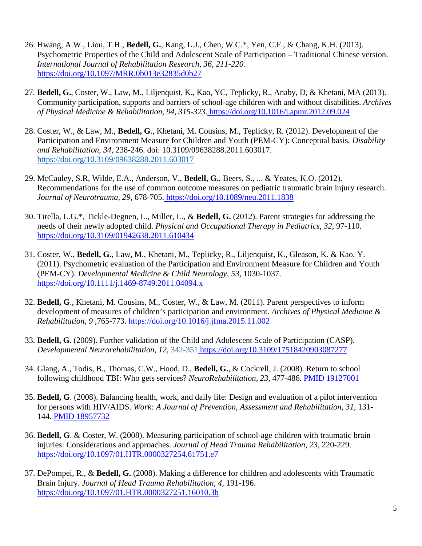- 26. Hwang, A.W., Liou, T.H., **Bedell, G.**, Kang, L.J., Chen, W.C.\*, Yen, C.F., & Chang, K.H. (2013). Psychometric Properties of the Child and Adolescent Scale of Participation – Traditional Chinese version. *International Journal of Rehabilitation Research, 36, 211-220.*  <https://doi.org/10.1097/MRR.0b013e32835d0b27>
- 27. **Bedell, G.**, Coster, W., Law, M., Liljenquist, K., Kao, YC, Teplicky, R., Anaby, D, & Khetani, MA (2013). Community participation, supports and barriers of school-age children with and without disabilities. *Archives of Physical Medicine & Rehabilitation, 94, 315-323.*<https://doi.org/10.1016/j.apmr.2012.09.024>
- 28. Coster, W., & Law, M., **Bedell, G**., Khetani, M. Cousins, M., Teplicky, R. (2012). Development of the Participation and Environment Measure for Children and Youth (PEM-CY): Conceptual basis*. Disability and Rehabilitation, 34,* 238-246. doi: 10.3109/09638288.2011.603017. <https://doi.org/10.3109/09638288.2011.603017>
- 29. McCauley, S.R, Wilde, E.A., Anderson, V., **Bedell, G.**, Beers, S., ... & Yeates, K.O. (2012). Recommendations for the use of common outcome measures on pediatric traumatic brain injury research. *Journal of Neurotrauma, 29*, 678-705[. https://doi.org/10.1089/neu.2011.1838](https://doi.org/10.1089/neu.2011.1838)
- 30. Tirella, L.G.\*, Tickle-Degnen, L., Miller, L., & **Bedell, G.** (2012). Parent strategies for addressing the needs of their newly adopted child. *Physical and Occupational Therapy in Pediatrics, 32,* 97-110. <https://doi.org/10.3109/01942638.2011.610434>
- 31. Coster, W., **Bedell, G.**, Law, M., Khetani, M., Teplicky, R., Liljenquist, K., Gleason, K. & Kao, Y. (2011). Psychometric evaluation of the Participation and Environment Measure for Children and Youth (PEM-CY). *Developmental Medicine & Child Neurology, 53,* 1030-1037[.](https://doi.org/10.1111/j.1469-8749.2011.04094.x) <https://doi.org/10.1111/j.1469-8749.2011.04094.x>
- 32. **Bedell, G**., Khetani, M. Cousins, M., Coster, W., & Law, M. (2011). Parent perspectives to inform development of measures of children's participation and environment. *Archives of Physical Medicine & Rehabilitation, 9 ,*765-773[. https://doi.org/10.1016/j.jfma.2015.11.002](https://doi.org/10.1016/j.jfma.2015.11.002)
- 33. **Bedell, G**. (2009). Further validation of the Child and Adolescent Scale of Participation (CASP). *Developmental Neurorehabilitation, 12,* 342-35[1.https://doi.org/10.3109/17518420903087277](https://doi.org/10.3109/17518420903087277)
- 34. Glang, A., Todis, B., Thomas, C.W., Hood, D., **Bedell, G.**, & Cockrell, J. (2008). Return to school following childhood TBI: Who gets services? *NeuroRehabilitation, 23,* 477-486*.* [PMID 19127001](http://www.ncbi.nlm.nih.gov/pubmed/?term=PMID%3A+19127001)
- 35. **Bedell, G**. (2008). Balancing health, work, and daily life: Design and evaluation of a pilot intervention for persons with HIV/AIDS. *Work: A Journal of Prevention, Assessment and Rehabilitation, 31, 131-*144*.* [PMID 18957732](http://www.ncbi.nlm.nih.gov/pubmed/18957732)
- 36. **Bedell, G**. & Coster, W. (2008). Measuring participation of school-age children with traumatic brain injuries: Considerations and approaches. *Journal of Head Trauma Rehabilitation, 23,* 220-229. <https://doi.org/10.1097/01.HTR.0000327254.61751.e7>
- 37. DePompei, R., & **Bedell, G.** (2008). Making a difference for children and adolescents with Traumatic Brain Injury. *Journal of Head Trauma Rehabilitation, 4,* 191-196. <https://doi.org/10.1097/01.HTR.0000327251.16010.3b>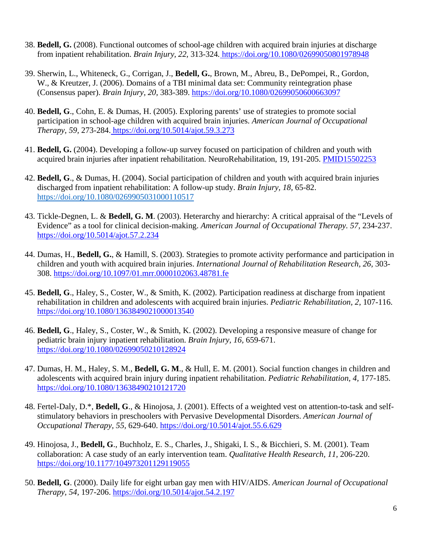- 38. **Bedell, G.** (2008). Functional outcomes of school-age children with acquired brain injuries at discharge from inpatient rehabilitation. *Brain Injury, 22,* 313-324*.*<https://doi.org/10.1080/02699050801978948>
- 39. Sherwin, L., Whiteneck, G., Corrigan, J., **Bedell, G.**, Brown, M., Abreu, B., DePompei, R., Gordon, W., & Kreutzer, J. (2006). Domains of a TBI minimal data set: Community reintegration phase (Consensus paper). *Brain Injury, 20,* 383-389. <https://doi.org/10.1080/02699050600663097>
- 40. **Bedell, G**., Cohn, E. & Dumas, H. (2005). Exploring parents' use of strategies to promote social participation in school-age children with acquired brain injuries. *American Journal of Occupational Therapy, 59,* 273-284[. https://doi.org/10.5014/ajot.59.3.273](https://doi.org/10.5014/ajot.59.3.273)
- 41. **Bedell, G.** (2004). Developing a follow-up survey focused on participation of children and youth with acquired brain injuries after inpatient rehabilitation. NeuroRehabilitation, 19, 191-205. [PMID15502253](https://www.ncbi.nlm.nih.gov/pubmed/?term=15502253)
- 42. **Bedell, G**., & Dumas, H. (2004). Social participation of children and youth with acquired brain injuries discharged from inpatient rehabilitation: A follow-up study. *Brain Injury, 18,* 65-82. <https://doi.org/10.1080/0269905031000110517>
- 43. Tickle-Degnen, L. & **Bedell, G. M**. (2003). Heterarchy and hierarchy: A critical appraisal of the "Levels of Evidence" as a tool for clinical decision-making. *American Journal of Occupational Therapy. 57,* 234-237. <https://doi.org/10.5014/ajot.57.2.234>
- 44. Dumas, H., **Bedell, G.**, & Hamill, S. (2003). Strategies to promote activity performance and participation in children and youth with acquired brain injuries. *International Journal of Rehabilitation Research, 26,* 303- 308. <https://doi.org/10.1097/01.mrr.0000102063.48781.fe>
- 45. **Bedell, G**., Haley, S., Coster, W., & Smith, K. (2002). Participation readiness at discharge from inpatient rehabilitation in children and adolescents with acquired brain injuries. *Pediatric Rehabilitation, 2,* 107-116. <https://doi.org/10.1080/1363849021000013540>
- 46. **Bedell, G**., Haley, S., Coster, W., & Smith, K. (2002). Developing a responsive measure of change for pediatric brain injury inpatient rehabilitation. *Brain Injury, 16,* 659-671. <https://doi.org/10.1080/02699050210128924>
- 47. Dumas, H. M., Haley, S. M., **Bedell, G. M**., & Hull, E. M. (2001). Social function changes in children and adolescents with acquired brain injury during inpatient rehabilitation. *Pediatric Rehabilitation, 4,* 177-185. <https://doi.org/10.1080/13638490210121720>
- 48. Fertel-Daly, D.\*, **Bedell, G**., & Hinojosa, J. (2001). Effects of a weighted vest on attention-to-task and selfstimulatory behaviors in preschoolers with Pervasive Developmental Disorders. *American Journal of Occupational Therapy, 55,* 629-640. <https://doi.org/10.5014/ajot.55.6.629>
- 49. Hinojosa, J., **Bedell, G**., Buchholz, E. S., Charles, J., Shigaki, I. S., & Bicchieri, S. M. (2001). Team collaboration: A case study of an early intervention team. *Qualitative Health Research, 11,* 206-220. <https://doi.org/10.1177/104973201129119055>
- 50. **Bedell, G**. (2000). Daily life for eight urban gay men with HIV/AIDS. *American Journal of Occupational Therapy, 54,* 197-206. <https://doi.org/10.5014/ajot.54.2.197>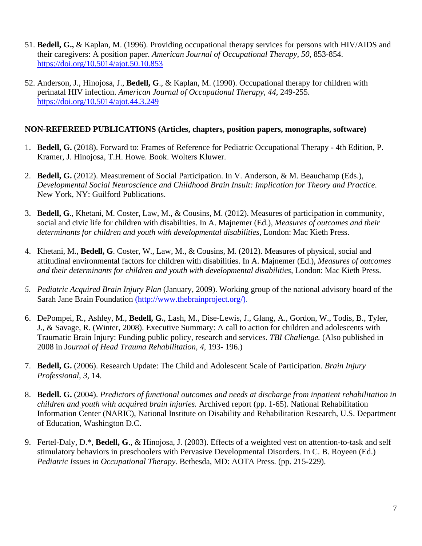- 51. **Bedell, G.,** & Kaplan, M. (1996). Providing occupational therapy services for persons with HIV/AIDS and their caregivers: A position paper. *American Journal of Occupational Therapy, 50,* 853-854. <https://doi.org/10.5014/ajot.50.10.853>
- 52. Anderson, J., Hinojosa, J., **Bedell, G**., & Kaplan, M. (1990). Occupational therapy for children with perinatal HIV infection. *American Journal of Occupational Therapy, 44,* 249-255. <https://doi.org/10.5014/ajot.44.3.249>

#### **NON-REFEREED PUBLICATIONS (Articles, chapters, position papers, monographs, software)**

- 1. **Bedell, G.** (2018). Forward to: Frames of Reference for Pediatric Occupational Therapy 4th Edition, P. Kramer, J. Hinojosa, T.H. Howe. Book. Wolters Kluwer.
- 2. **Bedell, G.** (2012). Measurement of Social Participation. In V. Anderson, & M. Beauchamp (Eds.), *Developmental Social Neuroscience and Childhood Brain Insult: Implication for Theory and Practice*. New York, NY: Guilford Publications.
- 3. **Bedell, G**., Khetani, M. Coster, Law, M., & Cousins, M. (2012). Measures of participation in community, social and civic life for children with disabilities. In A. Majnemer (Ed.), *Measures of outcomes and their determinants for children and youth with developmental disabilities,* London: Mac Kieth Press.
- 4. Khetani, M., **Bedell, G**. Coster, W., Law, M., & Cousins, M. (2012). Measures of physical, social and attitudinal environmental factors for children with disabilities. In A. Majnemer (Ed.), *Measures of outcomes and their determinants for children and youth with developmental disabilities,* London: Mac Kieth Press.
- *5. Pediatric Acquired Brain Injury Plan* (January, 2009). Working group of the national advisory board of the Sarah Jane Brain Foundation [\(http://www.thebrainproject.org/\).](http://www.thebrainproject.org/)
- 6. DePompei, R., Ashley, M., **Bedell, G.**, Lash, M., Dise-Lewis, J., Glang, A., Gordon, W., Todis, B., Tyler, J., & Savage, R. (Winter, 2008). Executive Summary: A call to action for children and adolescents with Traumatic Brain Injury: Funding public policy, research and services. *TBI Challenge.* (Also published in 2008 in J*ournal of Head Trauma Rehabilitation, 4,* 193- 196.)
- 7. **Bedell, G.** (2006). Research Update: The Child and Adolescent Scale of Participation. *Brain Injury Professional, 3,* 14.
- 8. **Bedell. G.** (2004). *Predictors of functional outcomes and needs at discharge from inpatient rehabilitation in children and youth with acquired brain injuries.* Archived report (pp. 1-65). National Rehabilitation Information Center (NARIC), National Institute on Disability and Rehabilitation Research, U.S. Department of Education, Washington D.C.
- 9. Fertel-Daly, D.\*, **Bedell, G**., & Hinojosa, J. (2003). Effects of a weighted vest on attention-to-task and self stimulatory behaviors in preschoolers with Pervasive Developmental Disorders. In C. B. Royeen (Ed.) *Pediatric Issues in Occupational Therapy.* Bethesda, MD: AOTA Press. (pp. 215-229).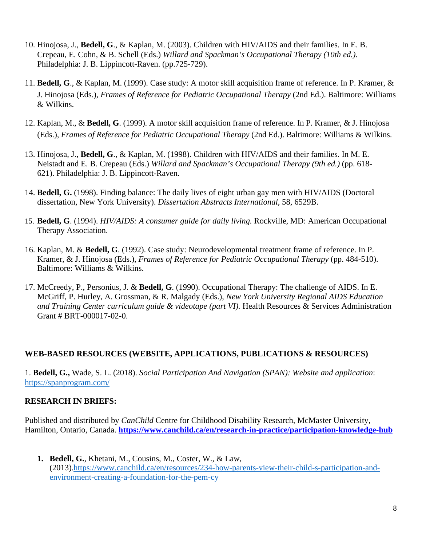- 10. Hinojosa, J., **Bedell, G**., & Kaplan, M. (2003). Children with HIV/AIDS and their families. In E. B. Crepeau, E. Cohn, & B. Schell (Eds.) *Willard and Spackman's Occupational Therapy (10th ed.).*  Philadelphia: J. B. Lippincott-Raven. (pp.725-729).
- 11. **Bedell, G**., & Kaplan, M. (1999). Case study: A motor skill acquisition frame of reference. In P. Kramer, & J. Hinojosa (Eds.), *Frames of Reference for Pediatric Occupational Therapy* (2nd Ed.). Baltimore: Williams & Wilkins.
- 12. Kaplan, M., & **Bedell, G**. (1999). A motor skill acquisition frame of reference. In P. Kramer, & J. Hinojosa (Eds.), *Frames of Reference for Pediatric Occupational Therapy* (2nd Ed.). Baltimore: Williams & Wilkins.
- 13. Hinojosa, J., **Bedell, G**., & Kaplan, M. (1998). Children with HIV/AIDS and their families. In M. E. Neistadt and E. B. Crepeau (Eds.) *Willard and Spackman's Occupational Therapy (9th ed.)* (pp. 618- 621). Philadelphia: J. B. Lippincott-Raven.
- 14. **Bedell, G.** (1998). Finding balance: The daily lives of eight urban gay men with HIV/AIDS (Doctoral dissertation, New York University). *Dissertation Abstracts International*, 58, 6529B.
- 15. **Bedell, G**. (1994). *HIV/AIDS: A consumer guide for daily living.* Rockville, MD: American Occupational Therapy Association.
- 16. Kaplan, M. & **Bedell, G**. (1992). Case study: Neurodevelopmental treatment frame of reference. In P. Kramer, & J. Hinojosa (Eds.), *Frames of Reference for Pediatric Occupational Therapy* (pp. 484-510). Baltimore: Williams & Wilkins.
- 17. McCreedy, P., Personius, J. & **Bedell, G**. (1990). Occupational Therapy: The challenge of AIDS. In E. McGriff, P. Hurley, A. Grossman, & R. Malgady (Eds.), *New York University Regional AIDS Education and Training Center curriculum guide & videotape (part VI).* Health Resources & Services Administration Grant # BRT-000017-02-0.

## **WEB-BASED RESOURCES (WEBSITE, APPLICATIONS, PUBLICATIONS & RESOURCES)**

1. **Bedell, G.,** Wade, S. L. (2018). *Social Participation And Navigation (SPAN): Website and application*: <https://spanprogram.com/>

## **RESEARCH IN BRIEFS:**

Published and distributed by *CanChild* Centre for Childhood Disability Research, McMaster University, Hamilton, Ontario, Canada. **<https://www.canchild.ca/en/research-in-practice/participation-knowledge-hub>**

**1. Bedell, G.**, Khetani, M., Cousins, M., Coster, W., & Law, (2013)[.https://www.canchild.ca/en/resources/234-how-parents-view-their-child-s-participation-and](https://www.canchild.ca/en/resources/234-how-parents-view-their-child-s-participation-and-environment-creating-a-foundation-for-the-pem-cy)[environment-creating-a-foundation-for-the-pem-cy](https://www.canchild.ca/en/resources/234-how-parents-view-their-child-s-participation-and-environment-creating-a-foundation-for-the-pem-cy)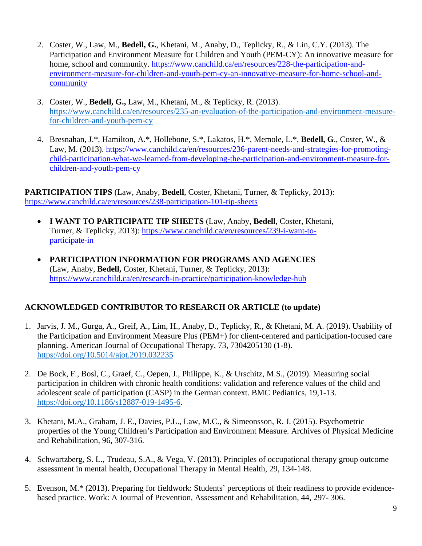- 2. Coster, W., Law, M., **Bedell, G.**, Khetani, M., Anaby, D., Teplicky, R., & Lin, C.Y. (2013). The Participation and Environment Measure for Children and Youth (PEM-CY): An innovative measure for home, school and community[. https://www.canchild.ca/en/resources/228-the-participation-and](https://www.canchild.ca/en/resources/228-the-participation-and-environment-measure-for-children-and-youth-pem-cy-an-innovative-measure-for-home-school-and-community)[environment-measure-for-children-and-youth-pem-cy-an-innovative-measure-for-home-school-and](https://www.canchild.ca/en/resources/228-the-participation-and-environment-measure-for-children-and-youth-pem-cy-an-innovative-measure-for-home-school-and-community)[community](https://www.canchild.ca/en/resources/228-the-participation-and-environment-measure-for-children-and-youth-pem-cy-an-innovative-measure-for-home-school-and-community)
- 3. Coster, W., **Bedell, G.,** Law, M., Khetani, M., & Teplicky, R. (2013). [https://www.canchild.ca/en/resources/235-an-evaluation-of-the-participation-and-environment-measure](https://www.canchild.ca/en/resources/235-an-evaluation-of-the-participation-and-environment-measure-for-children-and-youth-pem-cy)[for-children-and-youth-pem-cy](https://www.canchild.ca/en/resources/235-an-evaluation-of-the-participation-and-environment-measure-for-children-and-youth-pem-cy)
- 4. Bresnahan, J.\*, Hamilton, A.\*, Hollebone, S.\*, Lakatos, H.\*, Memole, L.\*, **Bedell, G**., Coster, W., & Law, M. (2013)[. https://www.canchild.ca/en/resources/236-parent-needs-and-strategies-for-promoting](https://www.canchild.ca/en/resources/236-parent-needs-and-strategies-for-promoting-child-participation-what-we-learned-from-developing-the-participation-and-environment-measure-for-children-and-youth-pem-cy)[child-participation-what-we-learned-from-developing-the-participation-and-environment-measure-for](https://www.canchild.ca/en/resources/236-parent-needs-and-strategies-for-promoting-child-participation-what-we-learned-from-developing-the-participation-and-environment-measure-for-children-and-youth-pem-cy)[children-and-youth-pem-cy](https://www.canchild.ca/en/resources/236-parent-needs-and-strategies-for-promoting-child-participation-what-we-learned-from-developing-the-participation-and-environment-measure-for-children-and-youth-pem-cy)

**PARTICIPATION TIPS** (Law, Anaby, **Bedell**, Coster, Khetani, Turner, & Teplicky, 2013): <https://www.canchild.ca/en/resources/238-participation-101-tip-sheets>

- **I WANT TO PARTICIPATE TIP SHEETS** (Law, Anaby, **Bedell**, Coster, Khetani, Turner, & Teplicky, 2013): [https://www.canchild.ca/en/resources/239-i-want-to](https://www.canchild.ca/en/resources/239-i-want-to-participate-in)[participate-in](https://www.canchild.ca/en/resources/239-i-want-to-participate-in)
- **PARTICIPATION INFORMATION FOR PROGRAMS AND AGENCIES**  (Law, Anaby, **Bedell,** Coster, Khetani, Turner, & Teplicky, 2013)[:](https://www.canchild.ca/en/research-in-practice/participation-knowledge-hub) <https://www.canchild.ca/en/research-in-practice/participation-knowledge-hub>

# **ACKNOWLEDGED CONTRIBUTOR TO RESEARCH OR ARTICLE (to update)**

- 1. Jarvis, J. M., Gurga, A., Greif, A., Lim, H., Anaby, D., Teplicky, R., & Khetani, M. A. (2019). Usability of the Participation and Environment Measure Plus (PEM+) for client-centered and participation-focused care planning. American Journal of Occupational Therapy, 73, 7304205130 (1-8). <https://doi.org/10.5014/ajot.2019.032235>
- 2. De Bock, F., Bosl, C., Graef, C., Oepen, J., Philippe, K., & Urschitz, M.S., (2019). Measuring social participation in children with chronic health conditions: validation and reference values of the child and adolescent scale of participation (CASP) in the German context. BMC Pediatrics, 19,1-13. [https://doi.org/10.1186/s12887-019-1495-6.](https://doi.org/10.1186/s12887-019-1495-6)
- 3. Khetani, M.A., Graham, J. E., Davies, P.L., Law, M.C., & Simeonsson, R. J. (2015). Psychometric properties of the Young Children's Participation and Environment Measure. Archives of Physical Medicine and Rehabilitation, 96, 307-316.
- 4. Schwartzberg, S. L., Trudeau, S.A., & Vega, V. (2013). Principles of occupational therapy group outcome assessment in mental health, Occupational Therapy in Mental Health, 29, 134-148.
- 5. Evenson, M.\* (2013). Preparing for fieldwork: Students' perceptions of their readiness to provide evidencebased practice. Work: A Journal of Prevention, Assessment and Rehabilitation, 44, 297- 306.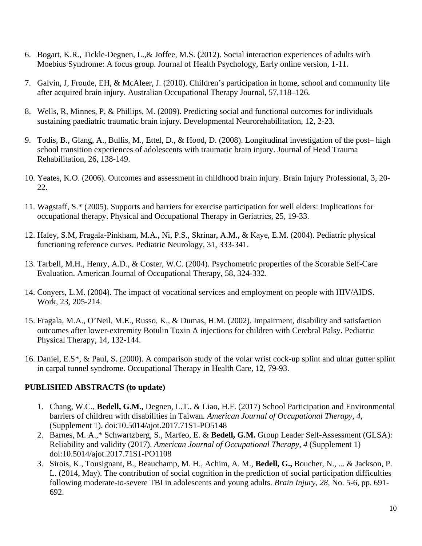- 6. Bogart, K.R., Tickle-Degnen, L.,& Joffee, M.S. (2012). Social interaction experiences of adults with Moebius Syndrome: A focus group. Journal of Health Psychology, Early online version, 1-11.
- 7. Galvin, J, Froude, EH, & McAleer, J. (2010). Children's participation in home, school and community life after acquired brain injury. Australian Occupational Therapy Journal, 57,118–126.
- 8. Wells, R, Minnes, P, & Phillips, M. (2009). Predicting social and functional outcomes for individuals sustaining paediatric traumatic brain injury. Developmental Neurorehabilitation, 12, 2-23.
- 9. Todis, B., Glang, A., Bullis, M., Ettel, D., & Hood, D. (2008). Longitudinal investigation of the post– high school transition experiences of adolescents with traumatic brain injury. Journal of Head Trauma Rehabilitation, 26, 138-149.
- 10. Yeates, K.O. (2006). Outcomes and assessment in childhood brain injury. Brain Injury Professional, 3, 20- 22.
- 11. Wagstaff, S.\* (2005). Supports and barriers for exercise participation for well elders: Implications for occupational therapy. Physical and Occupational Therapy in Geriatrics, 25, 19-33.
- 12. Haley, S.M, Fragala-Pinkham, M.A., Ni, P.S., Skrinar, A.M., & Kaye, E.M. (2004). Pediatric physical functioning reference curves. Pediatric Neurology, 31, 333-341.
- 13. Tarbell, M.H., Henry, A.D., & Coster, W.C. (2004). Psychometric properties of the Scorable Self-Care Evaluation. American Journal of Occupational Therapy, 58, 324-332.
- 14. Conyers, L.M. (2004). The impact of vocational services and employment on people with HIV/AIDS. Work, 23, 205-214.
- 15. Fragala, M.A., O'Neil, M.E., Russo, K., & Dumas, H.M. (2002). Impairment, disability and satisfaction outcomes after lower-extremity Botulin Toxin A injections for children with Cerebral Palsy. Pediatric Physical Therapy, 14, 132-144.
- 16. Daniel, E.S\*, & Paul, S. (2000). A comparison study of the volar wrist cock-up splint and ulnar gutter splint in carpal tunnel syndrome. Occupational Therapy in Health Care, 12, 79-93.

# **PUBLISHED ABSTRACTS (to update)**

- 1. Chang, W.C., **Bedell, G.M.,** Degnen, L.T., & Liao, H.F. (2017) School Participation and Environmental barriers of children with disabilities in Taiwan*. American Journal of Occupational Therapy, 4,*  (Supplement 1). doi:10.5014/ajot.2017.71S1-PO5148
- 2. Barnes, M. A.,\* Schwartzberg, S., Marfeo, E. & **Bedell, G.M.** Group Leader Self-Assessment (GLSA): Reliability and validity (2017). *American Journal of Occupational Therapy, 4* (Supplement 1) doi:10.5014/ajot.2017.71S1-PO1108
- 3. Sirois, K., Tousignant, B., Beauchamp, M. H., Achim, A. M., **Bedell, G.,** Boucher, N., ... & Jackson, P. L. (2014, May). The contribution of social cognition in the prediction of social participation difficulties following moderate-to-severe TBI in adolescents and young adults. *Brain Injury, 28,* No. 5-6, pp. 691- 692.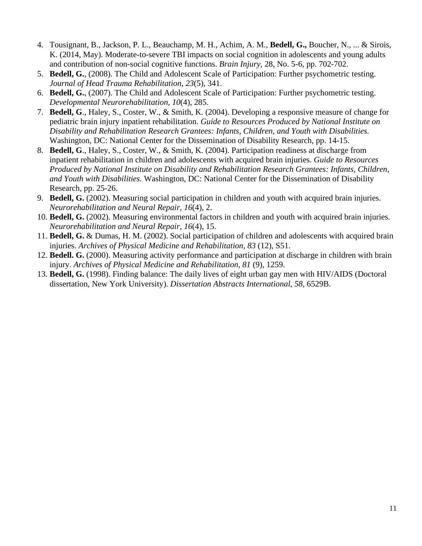- 4. Tousignant, B., Jackson, P. L., Beauchamp, M. H., Achim, A. M., **Bedell, G.,** Boucher, N., ... & Sirois, K. (2014, May). Moderate-to-severe TBI impacts on social cognition in adolescents and young adults and contribution of non-social cognitive functions. *Brain Injury,* 28, No. 5-6, pp. 702-702.
- 5. **Bedell, G.**, (2008). The Child and Adolescent Scale of Participation: Further psychometric testing. *Journal of Head Trauma Rehabilitation, 23*(5), 341.
- 6. **Bedell, G.**, (2007). The Child and Adolescent Scale of Participation: Further psychometric testing. *Developmental Neurorehabilitation, 10*(4), 285.
- 7. **Bedell, G**., Haley, S., Coster, W., & Smith, K. (2004). Developing a responsive measure of change for pediatric brain injury inpatient rehabilitation. *Guide to Resources Produced by National Institute on Disability and Rehabilitation Research Grantees: Infants, Children, and Youth with Disabilities.*  Washington, DC: National Center for the Dissemination of Disability Research, pp. 14-15.
- 8. **Bedell, G**., Haley, S., Coster, W., & Smith, K. (2004). Participation readiness at discharge from inpatient rehabilitation in children and adolescents with acquired brain injuries. *Guide to Resources Produced by National Institute on Disability and Rehabilitation Research Grantees: Infants, Children, and Youth with Disabilities.* Washington, DC: National Center for the Dissemination of Disability Research, pp. 25-26.
- 9. **Bedell, G.** (2002). Measuring social participation in children and youth with acquired brain injuries. *Neurorehabilitation and Neural Repair, 16*(4), 2.
- 10. **Bedell, G.** (2002). Measuring environmental factors in children and youth with acquired brain injuries. *Neurorehabilitation and Neural Repair, 16*(4), 15.
- 11. **Bedell, G.** & Dumas, H. M. (2002). Social participation of children and adolescents with acquired brain injuries. *Archives of Physical Medicine and Rehabilitation*, *83* (12), S51.
- 12. **Bedell. G.** (2000). Measuring activity performance and participation at discharge in children with brain injury. *Archives of Physical Medicine and Rehabilitation*, *81* (9), 1259.
- 13. **Bedell, G.** (1998). Finding balance: The daily lives of eight urban gay men with HIV/AIDS (Doctoral dissertation, New York University). *Dissertation Abstracts International*, *58,* 6529B.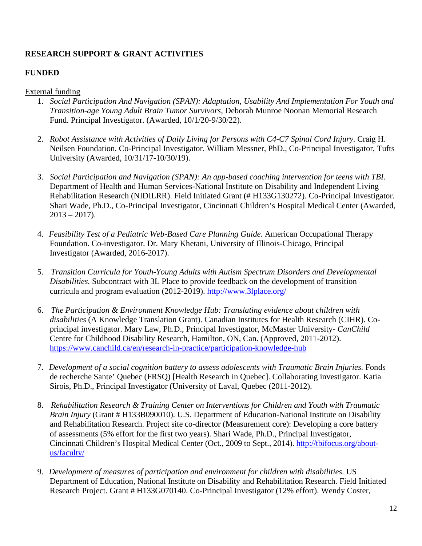# **RESEARCH SUPPORT & GRANT ACTIVITIES**

## **FUNDED**

## External funding

- 1. *Social Participation And Navigation (SPAN): Adaptation, Usability And Implementation For Youth and Transition-age Young Adult Brain Tumor Survivors*, Deborah Munroe Noonan Memorial Research Fund. Principal Investigator. (Awarded, 10/1/20-9/30/22).
- 2. *Robot Assistance with Activities of Daily Living for Persons with C4-C7 Spinal Cord Injury*. Craig H. Neilsen Foundation. Co-Principal Investigator. William Messner, PhD., Co-Principal Investigator, Tufts University (Awarded, 10/31/17-10/30/19).
- 3. *Social Participation and Navigation (SPAN): An app-based coaching intervention for teens with TBI.*  Department of Health and Human Services-National Institute on Disability and Independent Living Rehabilitation Research (NIDILRR). Field Initiated Grant (# H133G130272). Co-Principal Investigator. Shari Wade, Ph.D., Co-Principal Investigator, Cincinnati Children's Hospital Medical Center (Awarded,  $2013 - 2017$ ).
- 4. *Feasibility Test of a Pediatric Web-Based Care Planning Guide*. American Occupational Therapy Foundation. Co-investigator. Dr. Mary Khetani, University of Illinois-Chicago, Principal Investigator (Awarded, 2016-2017).
- 5. *Transition Curricula for Youth-Young Adults with Autism Spectrum Disorders and Developmental Disabilities.* Subcontract with 3L Place to provide feedback on the development of transition curricula and program evaluation (2012-2019). <http://www.3lplace.org/>
- 6. *The Participation & Environment Knowledge Hub: Translating evidence about children with disabilities* (A Knowledge Translation Grant). Canadian Institutes for Health Research (CIHR). Coprincipal investigator. Mary Law, Ph.D., Principal Investigator, McMaster University- *CanChild*  Centre for Childhood Disability Research, Hamilton, ON, Can. (Approved, 2011-2012). <https://www.canchild.ca/en/research-in-practice/participation-knowledge-hub>
- 7. *Development of a social cognition battery to assess adolescents with Traumatic Brain Injuries.* Fonds de recherche Sante' Quebec (FRSQ) [Health Research in Quebec]. Collaborating investigator. Katia Sirois, Ph.D., Principal Investigator (University of Laval, Quebec (2011-2012).
- 8. *Rehabilitation Research & Training Center on Interventions for Children and Youth with Traumatic Brain Injury* (Grant # H133B090010). U.S. Department of Education-National Institute on Disability and Rehabilitation Research. Project site co-director (Measurement core): Developing a core battery of assessments (5% effort for the first two years). Shari Wade, Ph.D., Principal Investigator, Cincinnati Children's Hospital Medical Center (Oct., 2009 to Sept., 2014). [http://tbifocus.org/about](http://tbifocus.org/about-us/faculty/)[us/faculty/](http://tbifocus.org/about-us/faculty/)
- 9. *Development of measures of participation and environment for children with disabilities.* US Department of Education, National Institute on Disability and Rehabilitation Research. Field Initiated Research Project. Grant # H133G070140. Co-Principal Investigator (12% effort). Wendy Coster,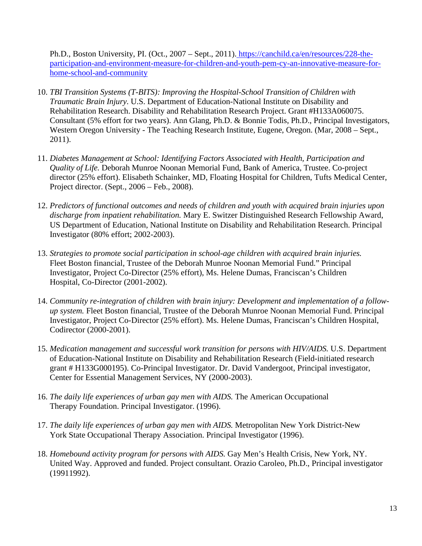Ph.D., Boston University, PI. (Oct., 2007 – Sept., 2011)[. https://canchild.ca/en/resources/228-the](https://canchild.ca/en/resources/228-the-participation-and-environment-measure-for-children-and-youth-pem-cy-an-innovative-measure-for-home-school-and-community)[participation-and-environment-measure-for-children-and-youth-pem-cy-an-innovative-measure-for](https://canchild.ca/en/resources/228-the-participation-and-environment-measure-for-children-and-youth-pem-cy-an-innovative-measure-for-home-school-and-community)[home-school-and-community](https://canchild.ca/en/resources/228-the-participation-and-environment-measure-for-children-and-youth-pem-cy-an-innovative-measure-for-home-school-and-community)

- 10. *TBI Transition Systems (T-BITS): Improving the Hospital-School Transition of Children with Traumatic Brain Injury*. U.S. Department of Education-National Institute on Disability and Rehabilitation Research. Disability and Rehabilitation Research Project. Grant #H133A060075. Consultant (5% effort for two years). Ann Glang, Ph.D. & Bonnie Todis, Ph.D., Principal Investigators, Western Oregon University - The Teaching Research Institute, Eugene, Oregon. (Mar, 2008 – Sept., 2011).
- 11. *Diabetes Management at School: Identifying Factors Associated with Health, Participation and Quality of Life.* Deborah Munroe Noonan Memorial Fund, Bank of America, Trustee. Co-project director (25% effort). Elisabeth Schainker, MD, Floating Hospital for Children, Tufts Medical Center, Project director. (Sept., 2006 – Feb., 2008).
- 12. *Predictors of functional outcomes and needs of children and youth with acquired brain injuries upon discharge from inpatient rehabilitation.* Mary E. Switzer Distinguished Research Fellowship Award, US Department of Education, National Institute on Disability and Rehabilitation Research. Principal Investigator (80% effort; 2002-2003).
- 13. *Strategies to promote social participation in school-age children with acquired brain injuries.*  Fleet Boston financial, Trustee of the Deborah Munroe Noonan Memorial Fund." Principal Investigator, Project Co-Director (25% effort), Ms. Helene Dumas, Franciscan's Children Hospital, Co-Director (2001-2002).
- 14. *Community re-integration of children with brain injury: Development and implementation of a followup system.* Fleet Boston financial, Trustee of the Deborah Munroe Noonan Memorial Fund. Principal Investigator, Project Co-Director (25% effort). Ms. Helene Dumas, Franciscan's Children Hospital, Codirector (2000-2001).
- 15. *Medication management and successful work transition for persons with HIV/AIDS.* U.S. Department of Education-National Institute on Disability and Rehabilitation Research (Field-initiated research grant # H133G000195). Co-Principal Investigator. Dr. David Vandergoot, Principal investigator, Center for Essential Management Services, NY (2000-2003).
- 16. *The daily life experiences of urban gay men with AIDS.* The American Occupational Therapy Foundation. Principal Investigator. (1996).
- 17. *The daily life experiences of urban gay men with AIDS.* Metropolitan New York District-New York State Occupational Therapy Association. Principal Investigator (1996).
- 18. *Homebound activity program for persons with AIDS.* Gay Men's Health Crisis, New York, NY. United Way. Approved and funded. Project consultant. Orazio Caroleo, Ph.D., Principal investigator (19911992).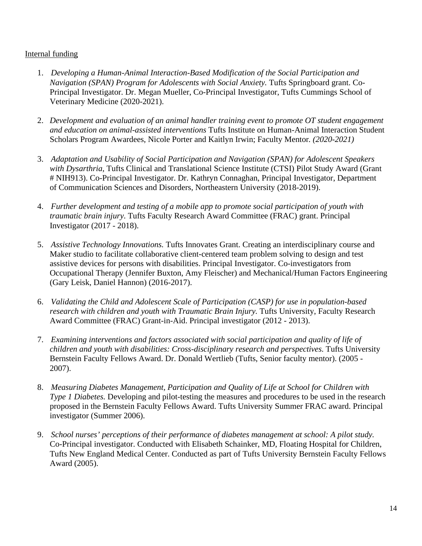## Internal funding

- 1. *Developing a Human-Animal Interaction-Based Modification of the Social Participation and Navigation (SPAN) Program for Adolescents with Social Anxiety.* Tufts Springboard grant. Co-Principal Investigator. Dr. Megan Mueller, Co-Principal Investigator, Tufts Cummings School of Veterinary Medicine (2020-2021).
- 2. *Development and evaluation of an animal handler training event to promote OT student engagement and education on animal-assisted interventions* Tufts Institute on Human-Animal Interaction Student Scholars Program Awardees, Nicole Porter and Kaitlyn Irwin; Faculty Mentor*. (2020-2021)*
- 3. *Adaptation and Usability of Social Participation and Navigation (SPAN) for Adolescent Speakers with Dysarthria*, Tufts Clinical and Translational Science Institute (CTSI) Pilot Study Award (Grant # NIH913). Co-Principal Investigator. Dr. Kathryn Connaghan, Principal Investigator, Department of Communication Sciences and Disorders, Northeastern University (2018-2019).
- 4. *Further development and testing of a mobile app to promote social participation of youth with traumatic brain injury*. Tufts Faculty Research Award Committee (FRAC) grant. Principal Investigator (2017 - 2018).
- 5. *Assistive Technology Innovations.* Tufts Innovates Grant. Creating an interdisciplinary course and Maker studio to facilitate collaborative client-centered team problem solving to design and test assistive devices for persons with disabilities. Principal Investigator. Co-investigators from Occupational Therapy (Jennifer Buxton, Amy Fleischer) and Mechanical/Human Factors Engineering (Gary Leisk, Daniel Hannon) (2016-2017).
- 6. *Validating the Child and Adolescent Scale of Participation (CASP) for use in population-based research with children and youth with Traumatic Brain Injury.* Tufts University, Faculty Research Award Committee (FRAC) Grant-in-Aid. Principal investigator (2012 - 2013).
- 7. *Examining interventions and factors associated with social participation and quality of life of children and youth with disabilities: Cross-disciplinary research and perspectives*. Tufts University Bernstein Faculty Fellows Award. Dr. Donald Wertlieb (Tufts, Senior faculty mentor). (2005 - 2007).
- 8. *Measuring Diabetes Management, Participation and Quality of Life at School for Children with Type 1 Diabetes.* Developing and pilot-testing the measures and procedures to be used in the research proposed in the Bernstein Faculty Fellows Award. Tufts University Summer FRAC award. Principal investigator (Summer 2006).
- 9. *School nurses' perceptions of their performance of diabetes management at school: A pilot study.*  Co-Principal investigator. Conducted with Elisabeth Schainker, MD, Floating Hospital for Children, Tufts New England Medical Center. Conducted as part of Tufts University Bernstein Faculty Fellows Award (2005).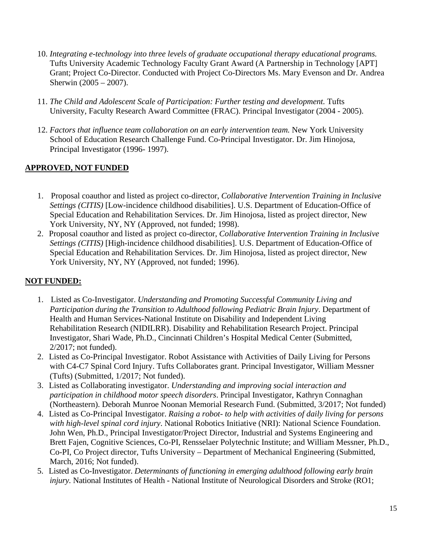- 10. *Integrating e-technology into three levels of graduate occupational therapy educational programs.*  Tufts University Academic Technology Faculty Grant Award (A Partnership in Technology [APT] Grant; Project Co-Director. Conducted with Project Co-Directors Ms. Mary Evenson and Dr. Andrea Sherwin (2005 – 2007).
- 11. *The Child and Adolescent Scale of Participation: Further testing and development.* Tufts University, Faculty Research Award Committee (FRAC). Principal Investigator (2004 - 2005).
- 12. *Factors that influence team collaboration on an early intervention team.* New York University School of Education Research Challenge Fund. Co-Principal Investigator. Dr. Jim Hinojosa, Principal Investigator (1996- 1997).

# **APPROVED, NOT FUNDED**

- 1. Proposal coauthor and listed as project co-director, *Collaborative Intervention Training in Inclusive Settings (CITIS)* [Low-incidence childhood disabilities]. U.S. Department of Education-Office of Special Education and Rehabilitation Services. Dr. Jim Hinojosa, listed as project director, New York University, NY, NY (Approved, not funded; 1998).
- 2. Proposal coauthor and listed as project co-director, *Collaborative Intervention Training in Inclusive Settings (CITIS)* [High-incidence childhood disabilities]. U.S. Department of Education-Office of Special Education and Rehabilitation Services. Dr. Jim Hinojosa, listed as project director, New York University, NY, NY (Approved, not funded; 1996).

# **NOT FUNDED:**

- 1. Listed as Co-Investigator. *Understanding and Promoting Successful Community Living and Participation during the Transition to Adulthood following Pediatric Brain Injury*. Department of Health and Human Services-National Institute on Disability and Independent Living Rehabilitation Research (NIDILRR). Disability and Rehabilitation Research Project. Principal Investigator, Shari Wade, Ph.D., Cincinnati Children's Hospital Medical Center (Submitted, 2/2017; not funded).
- 2. Listed as Co-Principal Investigator. Robot Assistance with Activities of Daily Living for Persons with C4-C7 Spinal Cord Injury. Tufts Collaborates grant. Principal Investigator, William Messner (Tufts) (Submitted, 1/2017; Not funded).
- 3. Listed as Collaborating investigator. *Understanding and improving social interaction and participation in childhood motor speech disorders*. Principal Investigator, Kathryn Connaghan (Northeastern). Deborah Munroe Noonan Memorial Research Fund. (Submitted, 3/2017; Not funded)
- 4. Listed as Co-Principal Investigator. *Raising a robot- to help with activities of daily living for persons with high-level spinal cord injury*. National Robotics Initiative (NRI): National Science Foundation. John Wen, Ph.D., Principal Investigator/Project Director, Industrial and Systems Engineering and Brett Fajen, Cognitive Sciences, Co-PI, Rensselaer Polytechnic Institute; and William Messner, Ph.D., Co-PI, Co Project director, Tufts University – Department of Mechanical Engineering (Submitted, March, 2016; Not funded).
- 5. Listed as Co-Investigator. *Determinants of functioning in emerging adulthood following early brain injury*. National Institutes of Health - National Institute of Neurological Disorders and Stroke (RO1;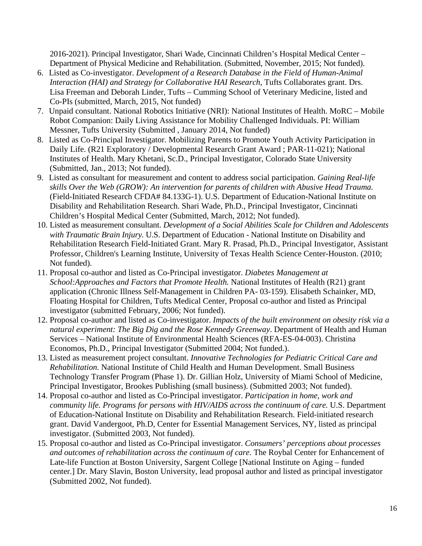2016-2021). Principal Investigator, Shari Wade, Cincinnati Children's Hospital Medical Center – Department of Physical Medicine and Rehabilitation. (Submitted, November, 2015; Not funded).

- 6. Listed as Co-investigator. *Development of a Research Database in the Field of Human-Animal Interaction (HAI) and Strategy for Collaborative HAI Research*, Tufts Collaborates grant. Drs. Lisa Freeman and Deborah Linder, Tufts – Cumming School of Veterinary Medicine, listed and Co-PIs (submitted, March, 2015, Not funded)
- 7. Unpaid consultant. National Robotics Initiative (NRI): National Institutes of Health. MoRC Mobile Robot Companion: Daily Living Assistance for Mobility Challenged Individuals. PI: William Messner, Tufts University (Submitted , January 2014, Not funded)
- 8. Listed as Co-Principal Investigator. Mobilizing Parents to Promote Youth Activity Participation in Daily Life. (R21 Exploratory / Developmental Research Grant Award ; PAR-11-021); National Institutes of Health. Mary Khetani, Sc.D., Principal Investigator, Colorado State University (Submitted, Jan., 2013; Not funded).
- 9. Listed as consultant for measurement and content to address social participation. *Gaining Real-life skills Over the Web (GROW): An intervention for parents of children with Abusive Head Trauma.*  (Field-Initiated Research CFDA# 84.133G-1). U.S. Department of Education-National Institute on Disability and Rehabilitation Research. Shari Wade, Ph.D., Principal Investigator, Cincinnati Children's Hospital Medical Center (Submitted, March, 2012; Not funded).
- 10. Listed as measurement consultant. *Development of a Social Abilities Scale for Children and Adolescents with Traumatic Brain Injury.* U.S. Department of Education - National Institute on Disability and Rehabilitation Research Field-Initiated Grant. Mary R. Prasad, Ph.D., Principal Investigator, Assistant Professor, Children's Learning Institute, University of Texas Health Science Center-Houston. (2010; Not funded).
- 11. Proposal co-author and listed as Co-Principal investigator. *Diabetes Management at School:Approaches and Factors that Promote Health.* National Institutes of Health (R21) grant application (Chronic Illness Self-Management in Children PA- 03-159). Elisabeth Schainker, MD, Floating Hospital for Children, Tufts Medical Center, Proposal co-author and listed as Principal investigator (submitted February, 2006; Not funded).
- 12. Proposal co-author and listed as Co-investigator. *Impacts of the built environment on obesity risk via a natural experiment: The Big Dig and the Rose Kennedy Greenway*. Department of Health and Human Services – National Institute of Environmental Health Sciences (RFA-ES-04-003). Christina Economos, Ph.D., Principal Investigator (Submitted 2004; Not funded.).
- 13. Listed as measurement project consultant. *Innovative Technologies for Pediatric Critical Care and Rehabilitation.* National Institute of Child Health and Human Development. Small Business Technology Transfer Program (Phase 1). Dr. Gillian Holz, University of Miami School of Medicine, Principal Investigator, Brookes Publishing (small business). (Submitted 2003; Not funded).
- 14. Proposal co-author and listed as Co-Principal investigator. *Participation in home, work and community life. Programs for persons with HIV/AIDS across the continuum of care.* U.S. Department of Education-National Institute on Disability and Rehabilitation Research. Field-initiated research grant. David Vandergoot, Ph.D, Center for Essential Management Services, NY, listed as principal investigator. (Submitted 2003, Not funded).
- 15. Proposal co-author and listed as Co-Principal investigator. *Consumers' perceptions about processes and outcomes of rehabilitation across the continuum of care.* The Roybal Center for Enhancement of Late-life Function at Boston University, Sargent College [National Institute on Aging – funded center.] Dr. Mary Slavin, Boston University, lead proposal author and listed as principal investigator (Submitted 2002, Not funded).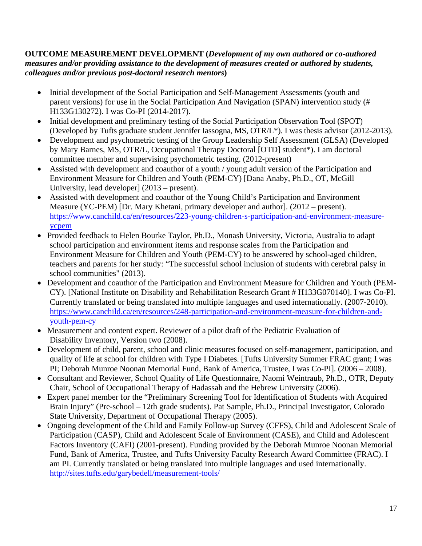## **OUTCOME MEASUREMENT DEVELOPMENT (***Development of my own authored or co-authored measures and/or providing assistance to the development of measures created or authored by students, colleagues and/or previous post-doctoral research mentors***)**

- Initial development of the Social Participation and Self-Management Assessments (youth and parent versions) for use in the Social Participation And Navigation (SPAN) intervention study (# H133G130272). I was Co-PI (2014-2017).
- Initial development and preliminary testing of the Social Participation Observation Tool (SPOT) (Developed by Tufts graduate student Jennifer Iassogna, MS, OTR/L\*). I was thesis advisor (2012-2013).
- Development and psychometric testing of the Group Leadership Self Assessment (GLSA) (Developed by Mary Barnes, MS, OTR/L, Occupational Therapy Doctoral [OTD] student\*). I am doctoral committee member and supervising psychometric testing. (2012-present)
- Assisted with development and coauthor of a youth / young adult version of the Participation and Environment Measure for Children and Youth (PEM-CY) [Dana Anaby, Ph.D., OT, McGill University, lead developer] (2013 – present).
- Assisted with development and coauthor of the Young Child's Participation and Environment Measure (YC-PEM) [Dr. Mary Khetani, primary developer and author]. (2012 – present). [https://www.canchild.ca/en/resources/223-young-children-s-participation-and-environment-measure](https://www.canchild.ca/en/resources/223-young-children-s-participation-and-environment-measure-ycpem)[ycpem](https://www.canchild.ca/en/resources/223-young-children-s-participation-and-environment-measure-ycpem)
- Provided feedback to Helen Bourke Taylor, Ph.D., Monash University, Victoria, Australia to adapt school participation and environment items and response scales from the Participation and Environment Measure for Children and Youth (PEM-CY) to be answered by school-aged children, teachers and parents for her study: "The successful school inclusion of students with cerebral palsy in school communities" (2013).
- Development and coauthor of the Participation and Environment Measure for Children and Youth (PEM-CY). [National Institute on Disability and Rehabilitation Research Grant # H133G070140]. I was Co-PI. Currently translated or being translated into multiple languages and used internationally. (2007-2010). [https://www.canchild.ca/en/resources/248-participation-and-environment-measure-for-children-and](https://www.canchild.ca/en/resources/248-participation-and-environment-measure-for-children-and-youth-pem-cy)[youth-pem-cy](https://www.canchild.ca/en/resources/248-participation-and-environment-measure-for-children-and-youth-pem-cy)
- Measurement and content expert. Reviewer of a pilot draft of the Pediatric Evaluation of Disability Inventory, Version two (2008).
- Development of child, parent, school and clinic measures focused on self-management, participation, and quality of life at school for children with Type I Diabetes. [Tufts University Summer FRAC grant; I was PI; Deborah Munroe Noonan Memorial Fund, Bank of America, Trustee, I was Co-PI]. (2006 – 2008).
- Consultant and Reviewer, School Quality of Life Questionnaire, Naomi Weintraub, Ph.D., OTR, Deputy Chair, School of Occupational Therapy of Hadassah and the Hebrew University (2006).
- Expert panel member for the "Preliminary Screening Tool for Identification of Students with Acquired Brain Injury" (Pre-school – 12th grade students). Pat Sample, Ph.D., Principal Investigator, Colorado State University, Department of Occupational Therapy (2005).
- Ongoing development of the Child and Family Follow-up Survey (CFFS), Child and Adolescent Scale of Participation (CASP), Child and Adolescent Scale of Environment (CASE), and Child and Adolescent Factors Inventory (CAFI) (2001-present). Funding provided by the Deborah Munroe Noonan Memorial Fund, Bank of America, Trustee, and Tufts University Faculty Research Award Committee (FRAC). I am PI. Currently translated or being translated into multiple languages and used internationally. <http://sites.tufts.edu/garybedell/measurement-tools/>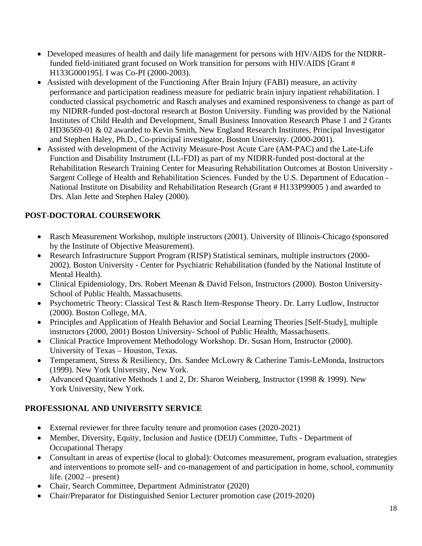- Developed measures of health and daily life management for persons with HIV/AIDS for the NIDRRfunded field-initiated grant focused on Work transition for persons with HIV/AIDS [Grant # H133G000195]. I was Co-PI (2000-2003).
- Assisted with development of the Functioning After Brain Injury (FABI) measure, an activity performance and participation readiness measure for pediatric brain injury inpatient rehabilitation. I conducted classical psychometric and Rasch analyses and examined responsiveness to change as part of my NIDRR-funded post-doctoral research at Boston University. Funding was provided by the National Institutes of Child Health and Development, Small Business Innovation Research Phase 1 and 2 Grants HD36569-01 & 02 awarded to Kevin Smith, New England Research Institutes, Principal Investigator and Stephen Haley, Ph.D., Co-principal investigator, Boston University. (2000-2001).
- Assisted with development of the Activity Measure-Post Acute Care (AM-PAC) and the Late-Life Function and Disability Instrument (LL-FDI) as part of my NIDRR-funded post-doctoral at the Rehabilitation Research Training Center for Measuring Rehabilitation Outcomes at Boston University - Sargent College of Health and Rehabilitation Sciences. Funded by the U.S. Department of Education - National Institute on Disability and Rehabilitation Research (Grant # H133P99005 ) and awarded to Drs. Alan Jette and Stephen Haley (2000).

# **POST-DOCTORAL COURSEWORK**

- Rasch Measurement Workshop, multiple instructors (2001). University of Illinois-Chicago (sponsored by the Institute of Objective Measurement).
- Research Infrastructure Support Program (RISP) Statistical seminars, multiple instructors (2000- 2002). Boston University - Center for Psychiatric Rehabilitation (funded by the National Institute of Mental Health).
- Clinical Epidemiology, Drs. Robert Meenan & David Felson, Instructors (2000). Boston University-School of Public Health, Massachusetts.
- Psychometric Theory: Classical Test & Rasch Item-Response Theory. Dr. Larry Ludlow, Instructor (2000). Boston College, MA.
- Principles and Application of Health Behavior and Social Learning Theories [Self-Study], multiple instructors (2000, 2001) Boston University- School of Public Health, Massachusetts.
- Clinical Practice Improvement Methodology Workshop. Dr. Susan Horn, Instructor (2000). University of Texas – Houston, Texas.
- Temperament, Stress & Resiliency, Drs. Sandee McLowry & Catherine Tamis-LeMonda, Instructors (1999). New York University, New York.
- Advanced Quantitative Methods 1 and 2, Dr. Sharon Weinberg, Instructor (1998 & 1999). New York University, New York.

# **PROFESSIONAL AND UNIVERSITY SERVICE**

- External reviewer for three faculty tenure and promotion cases (2020-2021)
- Member, Diversity, Equity, Inclusion and Justice (DEIJ) Committee, Tufts Department of Occupational Therapy
- Consultant in areas of expertise (local to global): Outcomes measurement, program evaluation, strategies and interventions to promote self- and co-management of and participation in home, school, community life.  $(2002 - present)$
- Chair, Search Committee, Department Administrator (2020)
- Chair/Preparator for Distinguished Senior Lecturer promotion case (2019-2020)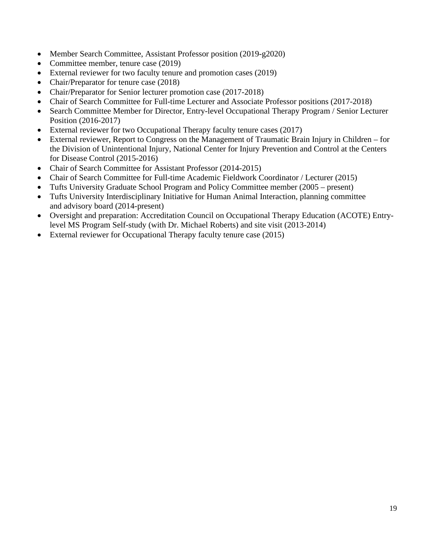- Member Search Committee, Assistant Professor position (2019-g2020)
- Committee member, tenure case (2019)
- External reviewer for two faculty tenure and promotion cases (2019)
- Chair/Preparator for tenure case (2018)
- Chair/Preparator for Senior lecturer promotion case (2017-2018)
- Chair of Search Committee for Full-time Lecturer and Associate Professor positions (2017-2018)
- Search Committee Member for Director, Entry-level Occupational Therapy Program / Senior Lecturer Position (2016-2017)
- External reviewer for two Occupational Therapy faculty tenure cases (2017)
- External reviewer, Report to Congress on the Management of Traumatic Brain Injury in Children for the Division of Unintentional Injury, National Center for Injury Prevention and Control at the Centers for Disease Control (2015-2016)
- Chair of Search Committee for Assistant Professor (2014-2015)
- Chair of Search Committee for Full-time Academic Fieldwork Coordinator / Lecturer (2015)
- Tufts University Graduate School Program and Policy Committee member (2005 present)
- Tufts University Interdisciplinary Initiative for Human Animal Interaction, planning committee and advisory board (2014-present)
- Oversight and preparation: Accreditation Council on Occupational Therapy Education (ACOTE) Entrylevel MS Program Self-study (with Dr. Michael Roberts) and site visit (2013-2014)
- External reviewer for Occupational Therapy faculty tenure case (2015)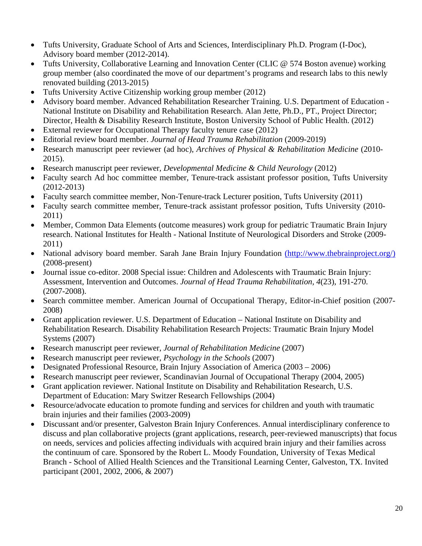- Tufts University, Graduate School of Arts and Sciences, Interdisciplinary Ph.D. Program (I-Doc), Advisory board member (2012-2014).
- Tufts University, Collaborative Learning and Innovation Center (CLIC @ 574 Boston avenue) working group member (also coordinated the move of our department's programs and research labs to this newly renovated building (2013-2015)
- Tufts University Active Citizenship working group member (2012)
- Advisory board member. Advanced Rehabilitation Researcher Training. U.S. Department of Education National Institute on Disability and Rehabilitation Research. Alan Jette, Ph.D., PT., Project Director; Director, Health & Disability Research Institute, Boston University School of Public Health. (2012)
- External reviewer for Occupational Therapy faculty tenure case (2012)
- Editorial review board member. *Journal of Head Trauma Rehabilitation* (2009-2019)
- Research manuscript peer reviewer (ad hoc), *Archives of Physical & Rehabilitation Medicine* (2010- 2015).
- Research manuscript peer reviewer, *Developmental Medicine & Child Neurology* (2012)
- Faculty search Ad hoc committee member, Tenure-track assistant professor position, Tufts University (2012-2013)
- Faculty search committee member, Non-Tenure-track Lecturer position, Tufts University (2011)
- Faculty search committee member, Tenure-track assistant professor position, Tufts University (2010-2011)
- Member, Common Data Elements (outcome measures) work group for pediatric Traumatic Brain Injury research. National Institutes for Health - National Institute of Neurological Disorders and Stroke (2009- 2011)
- National advisory board member. Sarah Jane Brain Injury Foundation [\(http://www.thebrainproject.org/\)](http://www.thebrainproject.org/) (2008-present)
- Journal issue co-editor. 2008 Special issue: Children and Adolescents with Traumatic Brain Injury: Assessment, Intervention and Outcomes. *Journal of Head Trauma Rehabilitation, 4*(23), 191-270. (2007-2008).
- Search committee member. American Journal of Occupational Therapy, Editor-in-Chief position (2007-2008)
- Grant application reviewer. U.S. Department of Education National Institute on Disability and Rehabilitation Research. Disability Rehabilitation Research Projects: Traumatic Brain Injury Model Systems (2007)
- Research manuscript peer reviewer, *Journal of Rehabilitation Medicine* (2007)
- Research manuscript peer reviewer, *Psychology in the Schools* (2007)
- Designated Professional Resource, Brain Injury Association of America (2003 2006)
- Research manuscript peer reviewer, Scandinavian Journal of Occupational Therapy (2004, 2005)
- Grant application reviewer. National Institute on Disability and Rehabilitation Research, U.S. Department of Education: Mary Switzer Research Fellowships (2004)
- Resource/advocate education to promote funding and services for children and youth with traumatic brain injuries and their families (2003-2009)
- Discussant and/or presenter, Galveston Brain Injury Conferences. Annual interdisciplinary conference to discuss and plan collaborative projects (grant applications, research, peer-reviewed manuscripts) that focus on needs, services and policies affecting individuals with acquired brain injury and their families across the continuum of care. Sponsored by the Robert L. Moody Foundation, University of Texas Medical Branch - School of Allied Health Sciences and the Transitional Learning Center, Galveston, TX. Invited participant (2001, 2002, 2006, & 2007)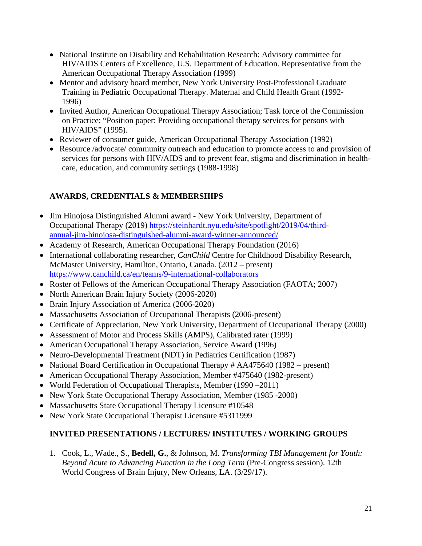- National Institute on Disability and Rehabilitation Research: Advisory committee for HIV/AIDS Centers of Excellence, U.S. Department of Education. Representative from the American Occupational Therapy Association (1999)
- Mentor and advisory board member, New York University Post-Professional Graduate Training in Pediatric Occupational Therapy. Maternal and Child Health Grant (1992- 1996)
- Invited Author, American Occupational Therapy Association; Task force of the Commission on Practice: "Position paper: Providing occupational therapy services for persons with HIV/AIDS" (1995).
- Reviewer of consumer guide, American Occupational Therapy Association (1992)
- Resource /advocate/ community outreach and education to promote access to and provision of services for persons with HIV/AIDS and to prevent fear, stigma and discrimination in healthcare, education, and community settings (1988-1998)

# **AWARDS, CREDENTIALS & MEMBERSHIPS**

- Jim Hinojosa Distinguished Alumni award New York University, Department of Occupational Therapy (2019[\) https://steinhardt.nyu.edu/site/spotlight/2019/04/third](https://steinhardt.nyu.edu/site/spotlight/2019/04/third-annual-jim-hinojosa-distinguished-alumni-award-winner-announced/)[annual-jim-hinojosa-distinguished-alumni-award-winner-announced/](https://steinhardt.nyu.edu/site/spotlight/2019/04/third-annual-jim-hinojosa-distinguished-alumni-award-winner-announced/)
- Academy of Research, American Occupational Therapy Foundation (2016)
- International collaborating researcher, *CanChild* Centre for Childhood Disability Research, McMaster University, Hamilton, Ontario, Canada. (2012 – present[\)](https://www.canchild.ca/en/teams/9-international-collaborators) <https://www.canchild.ca/en/teams/9-international-collaborators>
- Roster of Fellows of the American Occupational Therapy Association (FAOTA; 2007)
- North American Brain Injury Society (2006-2020)
- Brain Injury Association of America (2006-2020)
- Massachusetts Association of Occupational Therapists (2006-present)
- Certificate of Appreciation, New York University, Department of Occupational Therapy (2000)
- Assessment of Motor and Process Skills (AMPS), Calibrated rater (1999)
- American Occupational Therapy Association, Service Award (1996)
- Neuro-Developmental Treatment (NDT) in Pediatrics Certification (1987)
- National Board Certification in Occupational Therapy # AA475640 (1982 present)
- American Occupational Therapy Association, Member #475640 (1982-present)
- World Federation of Occupational Therapists, Member (1990 2011)
- New York State Occupational Therapy Association, Member (1985 -2000)
- Massachusetts State Occupational Therapy Licensure #10548
- New York State Occupational Therapist Licensure #5311999

# **INVITED PRESENTATIONS / LECTURES/ INSTITUTES / WORKING GROUPS**

1. Cook, L., Wade., S., **Bedell, G.**, & Johnson, M. *Transforming TBI Management for Youth: Beyond Acute to Advancing Function in the Long Term* (Pre-Congress session). 12th World Congress of Brain Injury, New Orleans, LA. (3/29/17).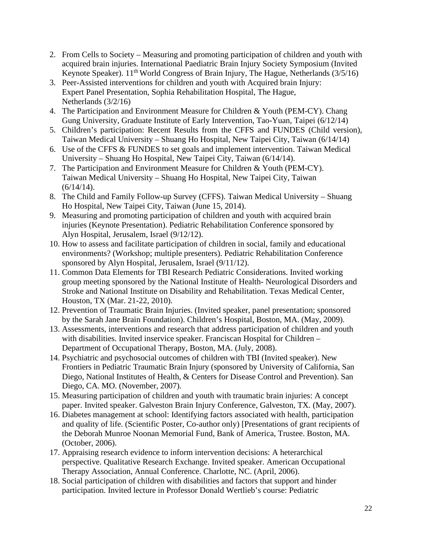- 2. From Cells to Society Measuring and promoting participation of children and youth with acquired brain injuries. International Paediatric Brain Injury Society Symposium (Invited Keynote Speaker). 11<sup>th</sup> World Congress of Brain Injury, The Hague, Netherlands (3/5/16)
- 3. Peer-Assisted interventions for children and youth with Acquired brain Injury: Expert Panel Presentation, Sophia Rehabilitation Hospital, The Hague, Netherlands (3/2/16)
- 4. The Participation and Environment Measure for Children & Youth (PEM-CY). Chang Gung University, Graduate Institute of Early Intervention, Tao-Yuan, Taipei (6/12/14)
- 5. Children's participation: Recent Results from the CFFS and FUNDES (Child version), Taiwan Medical University – Shuang Ho Hospital, New Taipei City, Taiwan (6/14/14)
- 6. Use of the CFFS & FUNDES to set goals and implement intervention. Taiwan Medical University – Shuang Ho Hospital, New Taipei City, Taiwan (6/14/14).
- 7. The Participation and Environment Measure for Children & Youth (PEM-CY). Taiwan Medical University – Shuang Ho Hospital, New Taipei City, Taiwan  $(6/14/14)$ .
- 8. The Child and Family Follow-up Survey (CFFS). Taiwan Medical University Shuang Ho Hospital, New Taipei City, Taiwan (June 15, 2014).
- 9. Measuring and promoting participation of children and youth with acquired brain injuries (Keynote Presentation). Pediatric Rehabilitation Conference sponsored by Alyn Hospital, Jerusalem, Israel (9/12/12).
- 10. How to assess and facilitate participation of children in social, family and educational environments? (Workshop; multiple presenters). Pediatric Rehabilitation Conference sponsored by Alyn Hospital, Jerusalem, Israel (9/11/12).
- 11. Common Data Elements for TBI Research Pediatric Considerations. Invited working group meeting sponsored by the National Institute of Health- Neurological Disorders and Stroke and National Institute on Disability and Rehabilitation. Texas Medical Center, Houston, TX (Mar. 21-22, 2010).
- 12. Prevention of Traumatic Brain Injuries. (Invited speaker, panel presentation; sponsored by the Sarah Jane Brain Foundation). Children's Hospital, Boston, MA. (May, 2009).
- 13. Assessments, interventions and research that address participation of children and youth with disabilities. Invited inservice speaker. Franciscan Hospital for Children – Department of Occupational Therapy, Boston, MA. (July, 2008).
- 14. Psychiatric and psychosocial outcomes of children with TBI (Invited speaker). New Frontiers in Pediatric Traumatic Brain Injury (sponsored by University of California, San Diego, National Institutes of Health, & Centers for Disease Control and Prevention). San Diego, CA. MO. (November, 2007).
- 15. Measuring participation of children and youth with traumatic brain injuries: A concept paper. Invited speaker. Galveston Brain Injury Conference, Galveston, TX. (May, 2007).
- 16. Diabetes management at school: Identifying factors associated with health, participation and quality of life. (Scientific Poster, Co-author only) [Presentations of grant recipients of the Deborah Munroe Noonan Memorial Fund, Bank of America, Trustee. Boston, MA. (October, 2006).
- 17. Appraising research evidence to inform intervention decisions: A heterarchical perspective. Qualitative Research Exchange. Invited speaker. American Occupational Therapy Association, Annual Conference. Charlotte, NC. (April, 2006).
- 18. Social participation of children with disabilities and factors that support and hinder participation. Invited lecture in Professor Donald Wertlieb's course: Pediatric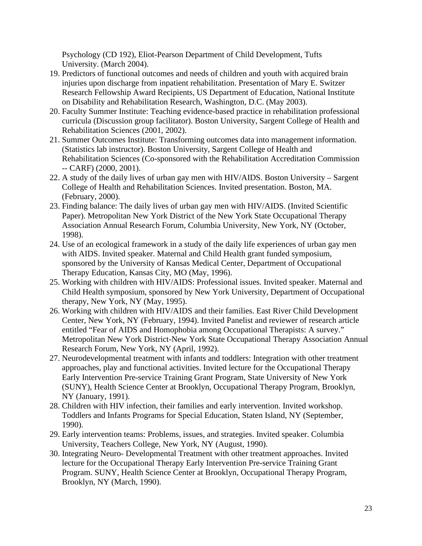Psychology (CD 192), Eliot-Pearson Department of Child Development, Tufts University. (March 2004).

- 19. Predictors of functional outcomes and needs of children and youth with acquired brain injuries upon discharge from inpatient rehabilitation. Presentation of Mary E. Switzer Research Fellowship Award Recipients, US Department of Education, National Institute on Disability and Rehabilitation Research, Washington, D.C. (May 2003).
- 20. Faculty Summer Institute: Teaching evidence-based practice in rehabilitation professional curricula (Discussion group facilitator). Boston University, Sargent College of Health and Rehabilitation Sciences (2001, 2002).
- 21. Summer Outcomes Institute: Transforming outcomes data into management information. (Statistics lab instructor). Boston University, Sargent College of Health and Rehabilitation Sciences (Co-sponsored with the Rehabilitation Accreditation Commission -- CARF) (2000, 2001).
- 22. A study of the daily lives of urban gay men with HIV/AIDS. Boston University Sargent College of Health and Rehabilitation Sciences. Invited presentation. Boston, MA. (February, 2000).
- 23. Finding balance: The daily lives of urban gay men with HIV/AIDS. (Invited Scientific Paper). Metropolitan New York District of the New York State Occupational Therapy Association Annual Research Forum, Columbia University, New York, NY (October, 1998).
- 24. Use of an ecological framework in a study of the daily life experiences of urban gay men with AIDS. Invited speaker. Maternal and Child Health grant funded symposium, sponsored by the University of Kansas Medical Center, Department of Occupational Therapy Education, Kansas City, MO (May, 1996).
- 25. Working with children with HIV/AIDS: Professional issues. Invited speaker. Maternal and Child Health symposium, sponsored by New York University, Department of Occupational therapy, New York, NY (May, 1995).
- 26. Working with children with HIV/AIDS and their families. East River Child Development Center, New York, NY (February, 1994). Invited Panelist and reviewer of research article entitled "Fear of AIDS and Homophobia among Occupational Therapists: A survey." Metropolitan New York District-New York State Occupational Therapy Association Annual Research Forum, New York, NY (April, 1992).
- 27. Neurodevelopmental treatment with infants and toddlers: Integration with other treatment approaches, play and functional activities. Invited lecture for the Occupational Therapy Early Intervention Pre-service Training Grant Program, State University of New York (SUNY), Health Science Center at Brooklyn, Occupational Therapy Program, Brooklyn, NY (January, 1991).
- 28. Children with HIV infection, their families and early intervention. Invited workshop. Toddlers and Infants Programs for Special Education, Staten Island, NY (September, 1990).
- 29. Early intervention teams: Problems, issues, and strategies. Invited speaker. Columbia University, Teachers College, New York, NY (August, 1990).
- 30. Integrating Neuro- Developmental Treatment with other treatment approaches. Invited lecture for the Occupational Therapy Early Intervention Pre-service Training Grant Program. SUNY, Health Science Center at Brooklyn, Occupational Therapy Program, Brooklyn, NY (March, 1990).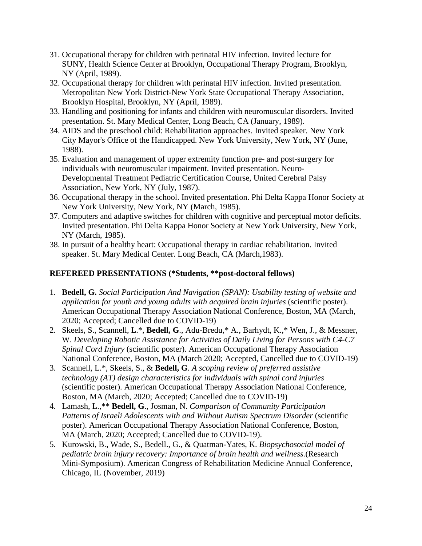- 31. Occupational therapy for children with perinatal HIV infection. Invited lecture for SUNY, Health Science Center at Brooklyn, Occupational Therapy Program, Brooklyn, NY (April, 1989).
- 32. Occupational therapy for children with perinatal HIV infection. Invited presentation. Metropolitan New York District-New York State Occupational Therapy Association, Brooklyn Hospital, Brooklyn, NY (April, 1989).
- 33. Handling and positioning for infants and children with neuromuscular disorders. Invited presentation. St. Mary Medical Center, Long Beach, CA (January, 1989).
- 34. AIDS and the preschool child: Rehabilitation approaches. Invited speaker. New York City Mayor's Office of the Handicapped. New York University, New York, NY (June, 1988).
- 35. Evaluation and management of upper extremity function pre- and post-surgery for individuals with neuromuscular impairment. Invited presentation. Neuro-Developmental Treatment Pediatric Certification Course, United Cerebral Palsy Association, New York, NY (July, 1987).
- 36. Occupational therapy in the school. Invited presentation. Phi Delta Kappa Honor Society at New York University, New York, NY (March, 1985).
- 37. Computers and adaptive switches for children with cognitive and perceptual motor deficits. Invited presentation. Phi Delta Kappa Honor Society at New York University, New York, NY (March, 1985).
- 38. In pursuit of a healthy heart: Occupational therapy in cardiac rehabilitation. Invited speaker. St. Mary Medical Center. Long Beach, CA (March,1983).

## **REFEREED PRESENTATIONS (\*Students, \*\*post-doctoral fellows)**

- 1. **Bedell, G.** *Social Participation And Navigation (SPAN): Usability testing of website and application for youth and young adults with acquired brain injuries* (scientific poster). American Occupational Therapy Association National Conference, Boston, MA (March, 2020; Accepted; Cancelled due to COVID-19)
- 2. Skeels, S., Scannell, L.\*, **Bedell, G**., Adu-Bredu,\* A., Barhydt, K.,\* Wen, J., & Messner, W. *Developing Robotic Assistance for Activities of Daily Living for Persons with C4-C7 Spinal Cord Injury* (scientific poster). American Occupational Therapy Association National Conference, Boston, MA (March 2020; Accepted, Cancelled due to COVID-19)
- 3. Scannell, L.\*, Skeels, S., & **Bedell, G**. *A scoping review of preferred assistive technology (AT) design characteristics for individuals with spinal cord injuries*  (scientific poster). American Occupational Therapy Association National Conference, Boston, MA (March, 2020; Accepted; Cancelled due to COVID-19)
- 4. Lamash, L.,\*\* **Bedell, G**., Josman, N. *Comparison of Community Participation*  Patterns of Israeli Adolescents with and Without Autism Spectrum Disorder (scientific poster). American Occupational Therapy Association National Conference, Boston, MA (March, 2020; Accepted; Cancelled due to COVID-19).
- 5. Kurowski, B., Wade, S., Bedell., G., & Quatman-Yates, K. *Biopsychosocial model of pediatric brain injury recovery: Importance of brain health and wellness.*(Research Mini-Symposium). American Congress of Rehabilitation Medicine Annual Conference, Chicago, IL (November, 2019)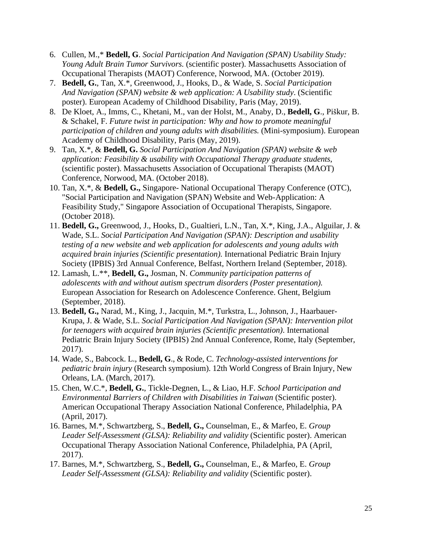- 6. Cullen, M.,\* **Bedell, G**. *Social Participation And Navigation (SPAN) Usability Study: Young Adult Brain Tumor Survivors.* (scientific poster). Massachusetts Association of Occupational Therapists (MAOT) Conference, Norwood, MA. (October 2019).
- 7. **Bedell, G.**, Tan, X.\*, Greenwood, J., Hooks, D., & Wade, S. *Social Participation And Navigation (SPAN) website & web application: A Usability study*. (Scientific poster). European Academy of Childhood Disability, Paris (May, 2019).
- 8. De Kloet, A., Imms, C., Khetani, M., van der Holst, M., Anaby, D., **Bedell, G**., Piškur, B. & Schakel, F. *Future twist in participation: Why and how to promote meaningful participation of children and young adults with disabilities.* (Mini-symposium). European Academy of Childhood Disability, Paris (May, 2019).
- 9. Tan, X.\*, & **Bedell, G.** *Social Participation And Navigation (SPAN) website & web application: Feasibility & usability with Occupational Therapy graduate students*, (scientific poster). Massachusetts Association of Occupational Therapists (MAOT) Conference, Norwood, MA. (October 2018).
- 10. Tan, X.\*, & **Bedell, G.,** Singapore- National Occupational Therapy Conference (OTC), "Social Participation and Navigation (SPAN) Website and Web-Application: A Feasibility Study," Singapore Association of Occupational Therapists, Singapore. (October 2018).
- 11. **Bedell, G.,** Greenwood, J., Hooks, D., Gualtieri, L.N., Tan, X.\*, King, J.A., Alguilar, J. & Wade, S.L. *Social Participation And Navigation (SPAN): Description and usability testing of a new website and web application for adolescents and young adults with acquired brain injuries (Scientific presentation).* International Pediatric Brain Injury Society (IPBIS) 3rd Annual Conference, Belfast, Northern Ireland (September, 2018).
- 12. Lamash, L.\*\*, **Bedell, G.,** Josman, N. *Community participation patterns of adolescents with and without autism spectrum disorders (Poster presentation).*  European Association for Research on Adolescence Conference. Ghent, Belgium (September, 2018).
- 13. **Bedell, G.,** Narad, M., King, J., Jacquin, M.\*, Turkstra, L., Johnson, J., Haarbauer-Krupa, J. & Wade, S.L. *Social Participation And Navigation (SPAN): Intervention pilot for teenagers with acquired brain injuries (Scientific presentation)*. International Pediatric Brain Injury Society (IPBIS) 2nd Annual Conference, Rome, Italy (September, 2017).
- 14. Wade, S., Babcock. L., **Bedell, G**., & Rode, C. *Technology-assisted interventions for pediatric brain injury* (Research symposium). 12th World Congress of Brain Injury, New Orleans, LA. (March, 2017).
- 15. Chen, W.C.\*, **Bedell, G.**, Tickle-Degnen, L., & Liao, H.F. *School Participation and Environmental Barriers of Children with Disabilities in Taiwan (Scientific poster).* American Occupational Therapy Association National Conference, Philadelphia, PA (April, 2017).
- 16. Barnes, M.\*, Schwartzberg, S., **Bedell, G.,** Counselman, E., & Marfeo, E. *Group Leader Self-Assessment (GLSA): Reliability and validity* (Scientific poster). American Occupational Therapy Association National Conference, Philadelphia, PA (April, 2017).
- 17. Barnes, M.\*, Schwartzberg, S., **Bedell, G.,** Counselman, E., & Marfeo, E. *Group Leader Self-Assessment (GLSA): Reliability and validity* (Scientific poster).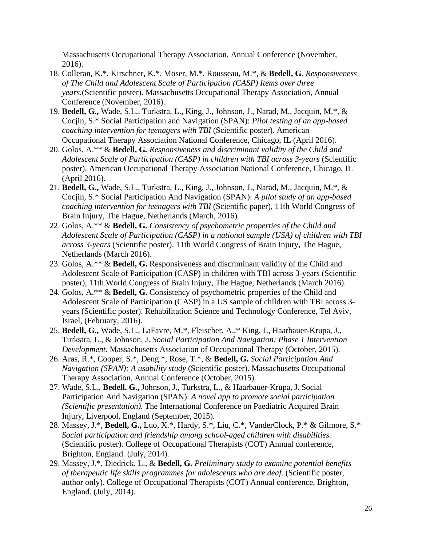Massachusetts Occupational Therapy Association, Annual Conference (November, 2016).

- 18. Colleran, K.\*, Kirschner, K.\*, Moser, M.\*, Rousseau, M.\*, & **Bedell, G**. *Responsiveness of The Child and Adolescent Scale of Participation (CASP) Items over three years.*(Scientific poster). Massachusetts Occupational Therapy Association, Annual Conference (November, 2016).
- 19. **Bedell, G.,** Wade, S.L., Turkstra, L., King, J., Johnson, J., Narad, M., Jacquin, M.\*, & Cocjin, S.\* Social Participation and Navigation (SPAN): *Pilot testing of an app-based coaching intervention for teenagers with TBI* (Scientific poster). American Occupational Therapy Association National Conference, Chicago, IL (April 2016).
- 20. Golos, A.\*\* & **Bedell, G***. Responsiveness and discriminant validity of the Child and Adolescent Scale of Participation (CASP) in children with TBI across 3-years* (Scientific poster). American Occupational Therapy Association National Conference, Chicago, IL (April 2016).
- 21. **Bedell, G.,** Wade, S.L., Turkstra, L., King, J., Johnson, J., Narad, M., Jacquin, M.\*, & Cocjin, S.\* Social Participation And Navigation (SPAN): *A pilot study of an app-based coaching intervention for teenagers with TBI* (Scientific paper), 11th World Congress of Brain Injury, The Hague, Netherlands (March, 2016)
- 22. Golos, A.\*\* & **Bedell, G.** *Consistency of psychometric properties of the Child and Adolescent Scale of Participation (CASP) in a national sample (USA) of children with TBI across 3-years* (Scientific poster). 11th World Congress of Brain Injury, The Hague, Netherlands (March 2016).
- 23. Golos, A.\*\* & **Bedell, G.** Responsiveness and discriminant validity of the Child and Adolescent Scale of Participation (CASP) in children with TBI across 3-years (Scientific poster), 11th World Congress of Brain Injury, The Hague, Netherlands (March 2016).
- 24. Golos, A.\*\* & **Bedell, G.** Consistency of psychometric properties of the Child and Adolescent Scale of Participation (CASP) in a US sample of children with TBI across 3 years (Scientific poster). Rehabilitation Science and Technology Conference, Tel Aviv, Israel, (February, 2016).
- 25. **Bedell, G.,** Wade, S.L., LaFavre, M.\*, Fleischer, A.,\* King, J., Haarbauer-Krupa, J., Turkstra, L., & Johnson, J. *Social Participation And Navigation: Phase 1 Intervention Development*. Massachusetts Association of Occupational Therapy (October, 2015).
- 26. Aras, R.\*, Cooper, S.\*, Deng.\*, Rose, T.\*, & **Bedell, G.** *Social Participation And Navigation (SPAN): A usability study* (Scientific poster). Massachusetts Occupational Therapy Association, Annual Conference (October, 2015).
- 27. Wade, S.L., **Bedell. G.,** Johnson, J., Turkstra, L., & Haarbauer-Krupa, J. Social Participation And Navigation (SPAN): *A novel app to promote social participation (Scientific presentation).* The International Conference on Paediatric Acquired Brain Injury, Liverpool, England (September, 2015).
- 28. Massey, J.\*, **Bedell, G.,** Luo, X.\*, Hardy, S.\*, Liu, C.\*, VanderClock, P.\* & Gilmore, S.\* *Social participation and friendship among school-aged children with disabilities.*  (Scientific poster). College of Occupational Therapists (COT) Annual conference, Brighton, England. (July, 2014).
- 29. Massey, J.\*, Diedrick, L., & **Bedell, G.** *Preliminary study to examine potential benefits of therapeutic life skills programmes for adolescents who are deaf.* (Scientific poster, author only). College of Occupational Therapists (COT) Annual conference, Brighton, England. (July, 2014).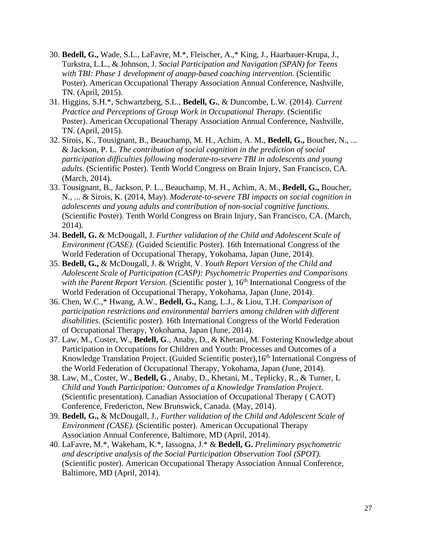- 30. **Bedell, G.,** Wade, S.L., LaFavre, M.\*, Fleischer, A.,\* King, J., Haarbauer-Krupa, J., Turkstra, L.L., & Johnson, J. *Social Participation and Navigation (SPAN) for Teens*  with TBI: Phase 1 development of anapp-based coaching intervention. (Scientific Poster). American Occupational Therapy Association Annual Conference, Nashville, TN. (April, 2015).
- 31. Higgins, S.H.\*, Schwartzberg, S.L., **Bedell, G.**, & Duncombe, L.W. (2014). *Current Practice and Perceptions of Group Work in Occupational Therapy.* (Scientific Poster). American Occupational Therapy Association Annual Conference, Nashville, TN. (April, 2015).
- 32. Sirois, K., Tousignant, B., Beauchamp, M. H., Achim, A. M., **Bedell, G.,** Boucher, N., ... & Jackson, P. L. *The contribution of social cognition in the prediction of social participation difficulties following moderate-to-severe TBI in adolescents and young adults.* (Scientific Poster). Tenth World Congress on Brain Injury, San Francisco, CA. (March, 2014).
- 33. Tousignant, B., Jackson, P. L., Beauchamp, M. H., Achim, A. M., **Bedell, G.,** Boucher, N., ... & Sirois, K. (2014, May). *Moderate-to-severe TBI impacts on social cognition in adolescents and young adults and contribution of non-social cognitive functions.*  (Scientific Poster). Tenth World Congress on Brain Injury, San Francisco, CA. (March, 2014).
- 34. **Bedell, G.** & McDougall, J. *Further validation of the Child and Adolescent Scale of Environment (CASE).* (Guided Scientific Poster). 16th International Congress of the World Federation of Occupational Therapy, Yokohama, Japan (June, 2014).
- 35. **Bedell, G.,** & McDougall, J. & Wright, V. *Youth Report Version of the Child and Adolescent Scale of Participation (CASP): Psychometric Properties and Comparisons with the Parent Report Version.* (Scientific poster), 16<sup>th</sup> International Congress of the World Federation of Occupational Therapy, Yokohama, Japan (June, 2014).
- 36. Chen, W.C.,\* Hwang, A.W., **Bedell, G.,** Kang, L.J., & Liou, T.H. *Comparison of participation restrictions and environmental barriers among children with different disabilities.* (Scientific poster). 16th International Congress of the World Federation of Occupational Therapy, Yokohama, Japan (June, 2014).
- 37. Law, M., Coster, W., **Bedell, G**., Anaby, D., & Khetani, M. Fostering Knowledge about Participation in Occupations for Children and Youth: Processes and Outcomes of a Knowledge Translation Project. (Guided Scientific poster), 16<sup>th</sup> International Congress of the World Federation of Occupational Therapy, Yokohama, Japan (June, 2014).
- 38. Law, M., Coster, W., **Bedell, G**., Anaby, D., Khetani, M., Teplicky, R., & Turner, L *Child and Youth Participation: Outcomes of a Knowledge Translation Project.*  (Scientific presentation). Canadian Association of Occupational Therapy ( CAOT) Conference, Fredericton, New Brunswick, Canada. (May, 2014).
- 39. **Bedell, G.,** & McDougall, J., *Further validation of the Child and Adolescent Scale of Environment (CASE).* (Scientific poster). American Occupational Therapy Association Annual Conference, Baltimore, MD (April, 2014).
- 40. LaFavre, M.\*, Wakeham, K.\*, Iassogna, J.\* & **Bedell, G.** *Preliminary psychometric and descriptive analysis of the Social Participation Observation Tool (SPOT).*  (Scientific poster). American Occupational Therapy Association Annual Conference, Baltimore, MD (April, 2014).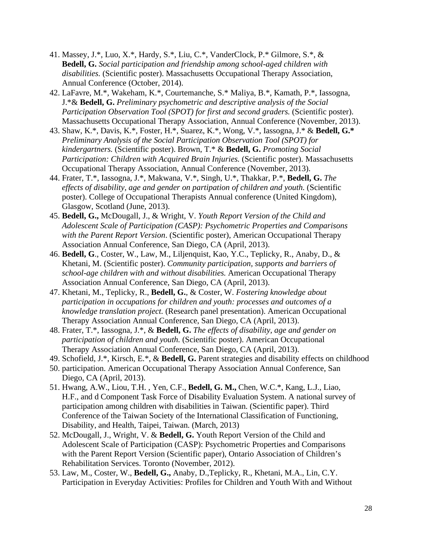- 41. Massey, J.\*, Luo, X.\*, Hardy, S.\*, Liu, C.\*, VanderClock, P.\* Gilmore, S.\*, & **Bedell, G.** *Social participation and friendship among school-aged children with disabilities.* (Scientific poster). Massachusetts Occupational Therapy Association, Annual Conference (October, 2014).
- 42. LaFavre, M.\*, Wakeham, K.\*, Courtemanche, S.\* Maliya, B.\*, Kamath, P.\*, Iassogna, J.\*& **Bedell, G.** *Preliminary psychometric and descriptive analysis of the Social Participation Observation Tool (SPOT) for first and second graders. (Scientific poster).* Massachusetts Occupational Therapy Association, Annual Conference (November, 2013).
- 43. Shaw, K.\*, Davis, K.\*, Foster, H.\*, Suarez, K.\*, Wong, V.\*, Iassogna, J.\* & **Bedell, G.\***  *Preliminary Analysis of the Social Participation Observation Tool (SPOT) for kindergartners.* (Scientific poster). Brown, T.\* & **Bedell, G.** *Promoting Social*  Participation: Children with Acquired Brain Injuries. (Scientific poster). Massachusetts Occupational Therapy Association, Annual Conference (November, 2013).
- 44. Frater, T.\*, Iassogna, J.\*, Makwana, V.\*, Singh, U.\*, Thakkar, P.\*, **Bedell, G.** *The effects of disability, age and gender on partipation of children and youth.* (Scientific poster). College of Occupational Therapists Annual conference (United Kingdom), Glasgow, Scotland (June, 2013).
- 45. **Bedell, G.,** McDougall, J., & Wright, V. *Youth Report Version of the Child and Adolescent Scale of Participation (CASP): Psychometric Properties and Comparisons with the Parent Report Version*. (Scientific poster), American Occupational Therapy Association Annual Conference, San Diego, CA (April, 2013).
- 46. **Bedell, G**., Coster, W., Law, M., Liljenquist, Kao, Y.C., Teplicky, R., Anaby, D., & Khetani, M. (Scientific poster). *Community participation, supports and barriers of school-age children with and without disabilities.* American Occupational Therapy Association Annual Conference, San Diego, CA (April, 2013).
- 47. Khetani, M., Teplicky, R., **Bedell, G.**, & Coster, W. *Fostering knowledge about participation in occupations for children and youth: processes and outcomes of a knowledge translation project.* (Research panel presentation). American Occupational Therapy Association Annual Conference, San Diego, CA (April, 2013).
- 48. Frater, T.\*, Iassogna, J.\*, & **Bedell, G.** *The effects of disability, age and gender on participation of children and youth.* (Scientific poster). American Occupational Therapy Association Annual Conference, San Diego, CA (April, 2013).
- 49. Schofield, J.\*, Kirsch, E.\*, & **Bedell, G.** Parent strategies and disability effects on childhood
- 50. participation. American Occupational Therapy Association Annual Conference, San Diego, CA (April, 2013).
- 51. Hwang, A.W., Liou, T.H. , Yen, C.F., **Bedell, G. M.,** Chen, W.C.\*, Kang, L.J., Liao, H.F., and d Component Task Force of Disability Evaluation System. A national survey of participation among children with disabilities in Taiwan. (Scientific paper). Third Conference of the Taiwan Society of the International Classification of Functioning, Disability, and Health, Taipei, Taiwan. (March, 2013)
- 52. McDougall, J., Wright, V. & **Bedell, G.** Youth Report Version of the Child and Adolescent Scale of Participation (CASP): Psychometric Properties and Comparisons with the Parent Report Version (Scientific paper), Ontario Association of Children's Rehabilitation Services. Toronto (November, 2012).
- 53. Law, M., Coster, W., **Bedell, G.,** Anaby, D.,Teplicky, R., Khetani, M.A., Lin, C.Y. Participation in Everyday Activities: Profiles for Children and Youth With and Without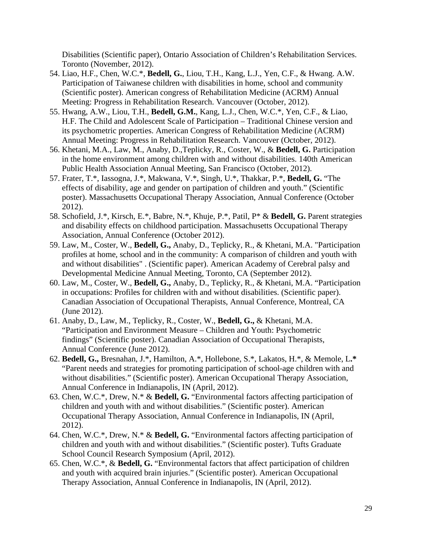Disabilities (Scientific paper), Ontario Association of Children's Rehabilitation Services. Toronto (November, 2012).

- 54. Liao, H.F., Chen, W.C.\*, **Bedell, G.**, Liou, T.H., Kang, L.J., Yen, C.F., & Hwang. A.W. Participation of Taiwanese children with disabilities in home, school and community (Scientific poster). American congress of Rehabilitation Medicine (ACRM) Annual Meeting: Progress in Rehabilitation Research. Vancouver (October, 2012).
- 55. Hwang, A.W., Liou, T.H., **Bedell, G.M.**, Kang, L.J., Chen, W.C.\*, Yen, C.F., & Liao, H.F. The Child and Adolescent Scale of Participation – Traditional Chinese version and its psychometric properties. American Congress of Rehabilitation Medicine (ACRM) Annual Meeting: Progress in Rehabilitation Research. Vancouver (October, 2012).
- 56. Khetani, M.A., Law, M., Anaby, D.,Teplicky, R., Coster, W., & **Bedell, G.** Participation in the home environment among children with and without disabilities. 140th American Public Health Association Annual Meeting, San Francisco (October, 2012).
- 57. Frater, T.\*, Iassogna, J.\*, Makwana, V.\*, Singh, U.\*, Thakkar, P.\*, **Bedell, G.** "The effects of disability, age and gender on partipation of children and youth." (Scientific poster). Massachusetts Occupational Therapy Association, Annual Conference (October 2012).
- 58. Schofield, J.\*, Kirsch, E.\*, Babre, N.\*, Khuje, P.\*, Patil, P\* & **Bedell, G.** Parent strategies and disability effects on childhood participation. Massachusetts Occupational Therapy Association, Annual Conference (October 2012).
- 59. Law, M., Coster, W., **Bedell, G.,** Anaby, D., Teplicky, R., & Khetani, M.A. "Participation profiles at home, school and in the community: A comparison of children and youth with and without disabilities" . (Scientific paper). American Academy of Cerebral palsy and Developmental Medicine Annual Meeting, Toronto, CA (September 2012).
- 60. Law, M., Coster, W., **Bedell, G.,** Anaby, D., Teplicky, R., & Khetani, M.A. "Participation in occupations: Profiles for children with and without disabilities. (Scientific paper). Canadian Association of Occupational Therapists, Annual Conference, Montreal, CA (June 2012).
- 61. Anaby, D., Law, M., Teplicky, R., Coster, W., **Bedell, G.,** & Khetani, M.A. "Participation and Environment Measure – Children and Youth: Psychometric findings" (Scientific poster). Canadian Association of Occupational Therapists, Annual Conference (June 2012).
- 62. **Bedell, G.,** Bresnahan, J.\*, Hamilton, A.\*, Hollebone, S.\*, Lakatos, H.\*, & Memole, L**.\***  "Parent needs and strategies for promoting participation of school-age children with and without disabilities." (Scientific poster). American Occupational Therapy Association, Annual Conference in Indianapolis, IN (April, 2012).
- 63. Chen, W.C.\*, Drew, N.\* & **Bedell, G.** "Environmental factors affecting participation of children and youth with and without disabilities." (Scientific poster). American Occupational Therapy Association, Annual Conference in Indianapolis, IN (April, 2012).
- 64. Chen, W.C.\*, Drew, N.\* & **Bedell, G.** "Environmental factors affecting participation of children and youth with and without disabilities." (Scientific poster). Tufts Graduate School Council Research Symposium (April, 2012).
- 65. Chen, W.C.\*, & **Bedell, G.** "Environmental factors that affect participation of children and youth with acquired brain injuries." (Scientific poster). American Occupational Therapy Association, Annual Conference in Indianapolis, IN (April, 2012).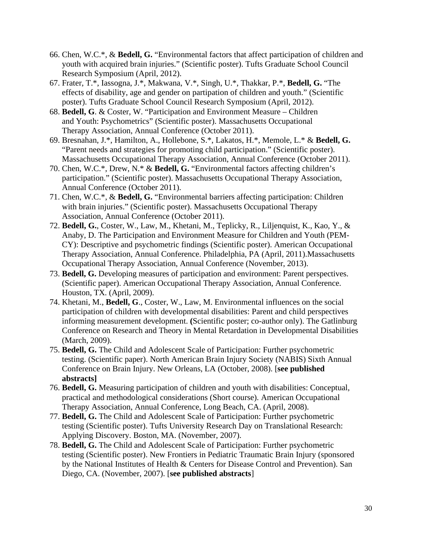- 66. Chen, W.C.\*, & **Bedell, G.** "Environmental factors that affect participation of children and youth with acquired brain injuries." (Scientific poster). Tufts Graduate School Council Research Symposium (April, 2012).
- 67. Frater, T.\*, Iassogna, J.\*, Makwana, V.\*, Singh, U.\*, Thakkar, P.\*, **Bedell, G.** "The effects of disability, age and gender on partipation of children and youth." (Scientific poster). Tufts Graduate School Council Research Symposium (April, 2012).
- 68. **Bedell, G**. & Coster, W. "Participation and Environment Measure Children and Youth: Psychometrics" (Scientific poster). Massachusetts Occupational Therapy Association, Annual Conference (October 2011).
- 69. Bresnahan, J.\*, Hamilton, A., Hollebone, S.\*, Lakatos, H.\*, Memole, L.\* & **Bedell, G.**  "Parent needs and strategies for promoting child participation." (Scientific poster). Massachusetts Occupational Therapy Association, Annual Conference (October 2011).
- 70. Chen, W.C.\*, Drew, N.\* & **Bedell, G.** "Environmental factors affecting children's participation." (Scientific poster). Massachusetts Occupational Therapy Association, Annual Conference (October 2011).
- 71. Chen, W.C.\*, & **Bedell, G.** "Environmental barriers affecting participation: Children with brain injuries." (Scientific poster). Massachusetts Occupational Therapy Association, Annual Conference (October 2011).
- 72. **Bedell, G.**, Coster, W., Law, M., Khetani, M., Teplicky, R., Liljenquist, K., Kao, Y., & Anaby, D. The Participation and Environment Measure for Children and Youth (PEM-CY): Descriptive and psychometric findings (Scientific poster). American Occupational Therapy Association, Annual Conference. Philadelphia, PA (April, 2011).Massachusetts Occupational Therapy Association, Annual Conference (November, 2013).
- 73. **Bedell, G.** Developing measures of participation and environment: Parent perspectives. (Scientific paper). American Occupational Therapy Association, Annual Conference. Houston, TX. (April, 2009).
- 74. Khetani, M., **Bedell, G**., Coster, W., Law, M. Environmental influences on the social participation of children with developmental disabilities: Parent and child perspectives informing measurement development. **(**Scientific poster; co-author only). The Gatlinburg Conference on Research and Theory in Mental Retardation in Developmental Disabilities (March, 2009).
- 75. **Bedell, G.** The Child and Adolescent Scale of Participation: Further psychometric testing. (Scientific paper). North American Brain Injury Society (NABIS) Sixth Annual Conference on Brain Injury. New Orleans, LA (October, 2008). [**see published abstracts]**
- 76. **Bedell, G.** Measuring participation of children and youth with disabilities: Conceptual, practical and methodological considerations (Short course). American Occupational Therapy Association, Annual Conference, Long Beach, CA. (April, 2008).
- 77. **Bedell, G.** The Child and Adolescent Scale of Participation: Further psychometric testing (Scientific poster). Tufts University Research Day on Translational Research: Applying Discovery. Boston, MA. (November, 2007).
- 78. **Bedell, G.** The Child and Adolescent Scale of Participation: Further psychometric testing (Scientific poster). New Frontiers in Pediatric Traumatic Brain Injury (sponsored by the National Institutes of Health & Centers for Disease Control and Prevention). San Diego, CA. (November, 2007). [**see published abstracts**]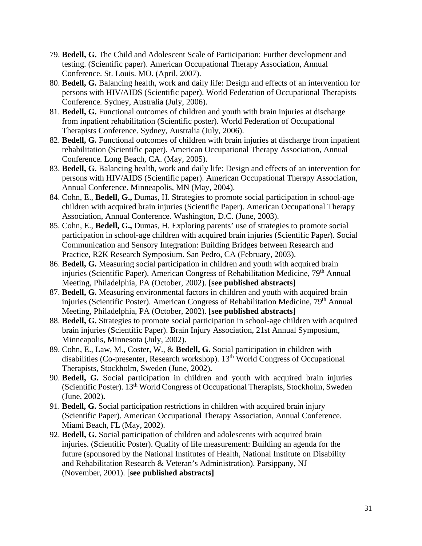- 79. **Bedell, G.** The Child and Adolescent Scale of Participation: Further development and testing. (Scientific paper). American Occupational Therapy Association, Annual Conference. St. Louis. MO. (April, 2007).
- 80. **Bedell, G.** Balancing health, work and daily life: Design and effects of an intervention for persons with HIV/AIDS (Scientific paper). World Federation of Occupational Therapists Conference. Sydney, Australia (July, 2006).
- 81. **Bedell, G.** Functional outcomes of children and youth with brain injuries at discharge from inpatient rehabilitation (Scientific poster). World Federation of Occupational Therapists Conference. Sydney, Australia (July, 2006).
- 82. **Bedell, G.** Functional outcomes of children with brain injuries at discharge from inpatient rehabilitation (Scientific paper). American Occupational Therapy Association, Annual Conference. Long Beach, CA. (May, 2005).
- 83. **Bedell, G.** Balancing health, work and daily life: Design and effects of an intervention for persons with HIV/AIDS (Scientific paper). American Occupational Therapy Association, Annual Conference. Minneapolis, MN (May, 2004).
- 84. Cohn, E., **Bedell, G.,** Dumas, H. Strategies to promote social participation in school-age children with acquired brain injuries (Scientific Paper). American Occupational Therapy Association, Annual Conference. Washington, D.C. (June, 2003).
- 85. Cohn, E., **Bedell, G.,** Dumas, H. Exploring parents' use of strategies to promote social participation in school-age children with acquired brain injuries (Scientific Paper). Social Communication and Sensory Integration: Building Bridges between Research and Practice, R2K Research Symposium. San Pedro, CA (February, 2003).
- 86. **Bedell, G.** Measuring social participation in children and youth with acquired brain injuries (Scientific Paper). American Congress of Rehabilitation Medicine, 79<sup>th</sup> Annual Meeting, Philadelphia, PA (October, 2002). [**see published abstracts**]
- 87. **Bedell, G.** Measuring environmental factors in children and youth with acquired brain injuries (Scientific Poster). American Congress of Rehabilitation Medicine, 79<sup>th</sup> Annual Meeting, Philadelphia, PA (October, 2002). [**see published abstracts**]
- 88. **Bedell, G.** Strategies to promote social participation in school-age children with acquired brain injuries (Scientific Paper). Brain Injury Association, 21st Annual Symposium, Minneapolis, Minnesota (July, 2002).
- 89. Cohn, E., Law, M., Coster, W., & **Bedell, G.** Social participation in children with disabilities (Co-presenter, Research workshop). 13th World Congress of Occupational Therapists, Stockholm, Sweden (June, 2002)**.**
- 90. **Bedell, G.** Social participation in children and youth with acquired brain injuries (Scientific Poster). 13th World Congress of Occupational Therapists, Stockholm, Sweden (June, 2002)**.**
- 91. **Bedell, G.** Social participation restrictions in children with acquired brain injury (Scientific Paper). American Occupational Therapy Association, Annual Conference. Miami Beach, FL (May, 2002).
- 92. **Bedell, G.** Social participation of children and adolescents with acquired brain injuries. (Scientific Poster). Quality of life measurement: Building an agenda for the future (sponsored by the National Institutes of Health, National Institute on Disability and Rehabilitation Research & Veteran's Administration). Parsippany, NJ (November, 2001). [**see published abstracts]**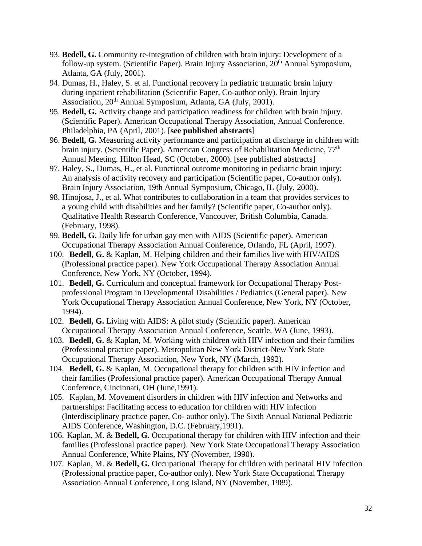- 93. **Bedell, G.** Community re-integration of children with brain injury: Development of a follow-up system. (Scientific Paper). Brain Injury Association, 20<sup>th</sup> Annual Symposium, Atlanta, GA (July, 2001).
- 94. Dumas, H., Haley, S. et al. Functional recovery in pediatric traumatic brain injury during inpatient rehabilitation (Scientific Paper, Co-author only). Brain Injury Association, 20th Annual Symposium, Atlanta, GA (July, 2001).
- 95. **Bedell, G.** Activity change and participation readiness for children with brain injury. (Scientific Paper). American Occupational Therapy Association, Annual Conference. Philadelphia, PA (April, 2001). [**see published abstracts**]
- 96. **Bedell, G.** Measuring activity performance and participation at discharge in children with brain injury. (Scientific Paper). American Congress of Rehabilitation Medicine, 77<sup>th</sup> Annual Meeting. Hilton Head, SC (October, 2000). [see published abstracts]
- 97. Haley, S., Dumas, H., et al. Functional outcome monitoring in pediatric brain injury: An analysis of activity recovery and participation (Scientific paper, Co-author only). Brain Injury Association, 19th Annual Symposium, Chicago, IL (July, 2000).
- 98. Hinojosa, J., et al. What contributes to collaboration in a team that provides services to a young child with disabilities and her family? (Scientific paper, Co-author only). Qualitative Health Research Conference, Vancouver, British Columbia, Canada. (February, 1998).
- 99. **Bedell, G.** Daily life for urban gay men with AIDS (Scientific paper). American Occupational Therapy Association Annual Conference, Orlando, FL (April, 1997).
- 100. **Bedell, G.** & Kaplan, M. Helping children and their families live with HIV/AIDS (Professional practice paper). New York Occupational Therapy Association Annual Conference, New York, NY (October, 1994).
- 101. **Bedell, G.** Curriculum and conceptual framework for Occupational Therapy Postprofessional Program in Developmental Disabilities / Pediatrics (General paper). New York Occupational Therapy Association Annual Conference, New York, NY (October, 1994).
- 102. **Bedell, G.** Living with AIDS: A pilot study (Scientific paper). American Occupational Therapy Association Annual Conference, Seattle, WA (June, 1993).
- 103. **Bedell, G.** & Kaplan, M. Working with children with HIV infection and their families (Professional practice paper). Metropolitan New York District-New York State Occupational Therapy Association, New York, NY (March, 1992).
- 104. **Bedell, G.** & Kaplan, M. Occupational therapy for children with HIV infection and their families (Professional practice paper). American Occupational Therapy Annual Conference, Cincinnati, OH (June,1991).
- 105. Kaplan, M. Movement disorders in children with HIV infection and Networks and partnerships: Facilitating access to education for children with HIV infection (Interdisciplinary practice paper, Co- author only). The Sixth Annual National Pediatric AIDS Conference, Washington, D.C. (February,1991).
- 106. Kaplan, M. & **Bedell, G.** Occupational therapy for children with HIV infection and their families (Professional practice paper). New York State Occupational Therapy Association Annual Conference, White Plains, NY (November, 1990).
- 107. Kaplan, M. & **Bedell, G.** Occupational Therapy for children with perinatal HIV infection (Professional practice paper, Co-author only). New York State Occupational Therapy Association Annual Conference, Long Island, NY (November, 1989).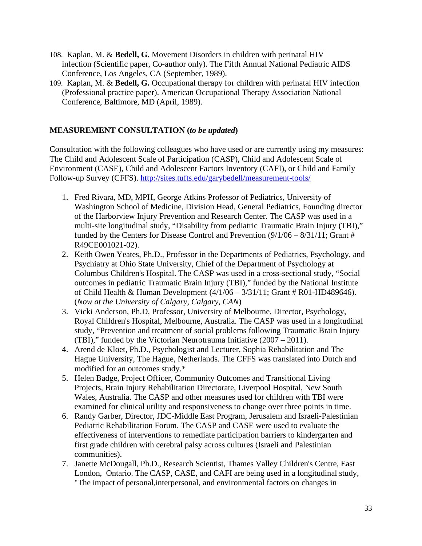- 108. Kaplan, M. & **Bedell, G.** Movement Disorders in children with perinatal HIV infection (Scientific paper, Co-author only). The Fifth Annual National Pediatric AIDS Conference, Los Angeles, CA (September, 1989).
- 109. Kaplan, M. & **Bedell, G.** Occupational therapy for children with perinatal HIV infection (Professional practice paper). American Occupational Therapy Association National Conference, Baltimore, MD (April, 1989).

#### **MEASUREMENT CONSULTATION (***to be updated***)**

Consultation with the following colleagues who have used or are currently using my measures: The Child and Adolescent Scale of Participation (CASP), Child and Adolescent Scale of Environment (CASE), Child and Adolescent Factors Inventory (CAFI), or Child and Family Follow-up Survey (CFFS).<http://sites.tufts.edu/garybedell/measurement-tools/>

- 1. Fred Rivara, MD, MPH, George Atkins Professor of Pediatrics, University of Washington School of Medicine, Division Head, General Pediatrics, Founding director of the Harborview Injury Prevention and Research Center. The CASP was used in a multi-site longitudinal study, "Disability from pediatric Traumatic Brain Injury (TBI)," funded by the Centers for Disease Control and Prevention  $(9/1/06 - 8/31/11)$ ; Grant # R49CE001021-02).
- 2. Keith Owen Yeates, Ph.D., Professor in the Departments of Pediatrics, Psychology, and Psychiatry at Ohio State University, Chief of the Department of Psychology at Columbus Children's Hospital. The CASP was used in a cross-sectional study, "Social outcomes in pediatric Traumatic Brain Injury (TBI)," funded by the National Institute of Child Health & Human Development (4/1/06 – 3/31/11; Grant # R01-HD489646). (*Now at the University of Calgary, Calgary, CAN*)
- 3. Vicki Anderson, Ph.D, Professor, University of Melbourne, Director, Psychology, Royal Children's Hospital, Melbourne, Australia. The CASP was used in a longitudinal study, "Prevention and treatment of social problems following Traumatic Brain Injury (TBI)," funded by the Victorian Neurotrauma Initiative (2007 – 2011).
- 4. Arend de Kloet, Ph.D., Psychologist and Lecturer, Sophia Rehabilitation and The Hague University, The Hague, Netherlands. The CFFS was translated into Dutch and modified for an outcomes study.\*
- 5. Helen Badge, Project Officer, Community Outcomes and Transitional Living Projects, Brain Injury Rehabilitation Directorate, Liverpool Hospital, New South Wales, Australia. The CASP and other measures used for children with TBI were examined for clinical utility and responsiveness to change over three points in time.
- 6. Randy Garber, Director, JDC-Middle East Program, Jerusalem and Israeli-Palestinian Pediatric Rehabilitation Forum. The CASP and CASE were used to evaluate the effectiveness of interventions to remediate participation barriers to kindergarten and first grade children with cerebral palsy across cultures (Israeli and Palestinian communities).
- 7. Janette McDougall, Ph.D., Research Scientist, Thames Valley Children's Centre, East London, Ontario. The CASP, CASE, and CAFI are being used in a longitudinal study, "The impact of personal,interpersonal, and environmental factors on changes in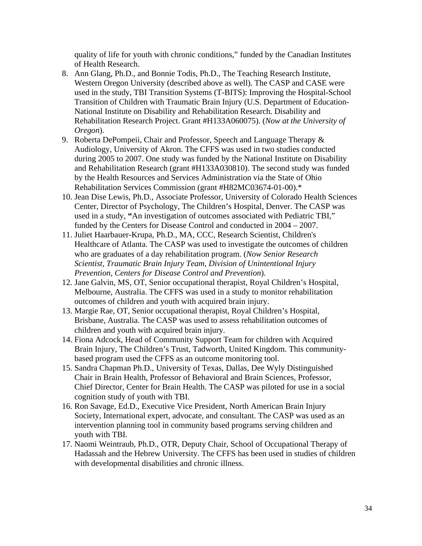quality of life for youth with chronic conditions," funded by the Canadian Institutes of Health Research.

- 8. Ann Glang, Ph.D., and Bonnie Todis, Ph.D., The Teaching Research Institute, Western Oregon University (described above as well). The CASP and CASE were used in the study, TBI Transition Systems (T-BITS): Improving the Hospital-School Transition of Children with Traumatic Brain Injury (U.S. Department of Education-National Institute on Disability and Rehabilitation Research. Disability and Rehabilitation Research Project. Grant #H133A060075). (*Now at the University of Oregon*).
- 9. Roberta DePompeii, Chair and Professor, Speech and Language Therapy & Audiology, University of Akron. The CFFS was used in two studies conducted during 2005 to 2007. One study was funded by the National Institute on Disability and Rehabilitation Research (grant #H133A030810). The second study was funded by the Health Resources and Services Administration via the State of Ohio Rehabilitation Services Commission (grant #H82MC03674-01-00).\*
- 10. Jean Dise Lewis, Ph.D., Associate Professor, University of Colorado Health Sciences Center, Director of Psychology, The Children's Hospital, Denver. The CASP was used in a study, **"**An investigation of outcomes associated with Pediatric TBI," funded by the Centers for Disease Control and conducted in 2004 – 2007.
- 11. Juliet Haarbauer-Krupa, Ph.D., MA, CCC, Research Scientist, Children's Healthcare of Atlanta. The CASP was used to investigate the outcomes of children who are graduates of a day rehabilitation program. (*Now Senior Research Scientist, Traumatic Brain Injury Team, Division of Unintentional Injury Prevention, Centers for Disease Control and Prevention*).
- 12. Jane Galvin, MS, OT, Senior occupational therapist, Royal Children's Hospital, Melbourne, Australia. The CFFS was used in a study to monitor rehabilitation outcomes of children and youth with acquired brain injury.
- 13. Margie Rae, OT, Senior occupational therapist, Royal Children's Hospital, Brisbane, Australia. The CASP was used to assess rehabilitation outcomes of children and youth with acquired brain injury.
- 14. Fiona Adcock, Head of Community Support Team for children with Acquired Brain Injury, The Children's Trust, Tadworth, United Kingdom. This communitybased program used the CFFS as an outcome monitoring tool.
- 15. Sandra Chapman Ph.D., University of Texas, Dallas, Dee Wyly Distinguished Chair in Brain Health, Professor of Behavioral and Brain Sciences, Professor, Chief Director, Center for Brain Health. The CASP was piloted for use in a social cognition study of youth with TBI.
- 16. Ron Savage, Ed.D., Executive Vice President, North American Brain Injury Society, International expert, advocate, and consultant. The CASP was used as an intervention planning tool in community based programs serving children and youth with TBI.
- 17. Naomi Weintraub, Ph.D., OTR, Deputy Chair, School of Occupational Therapy of Hadassah and the Hebrew University. The CFFS has been used in studies of children with developmental disabilities and chronic illness.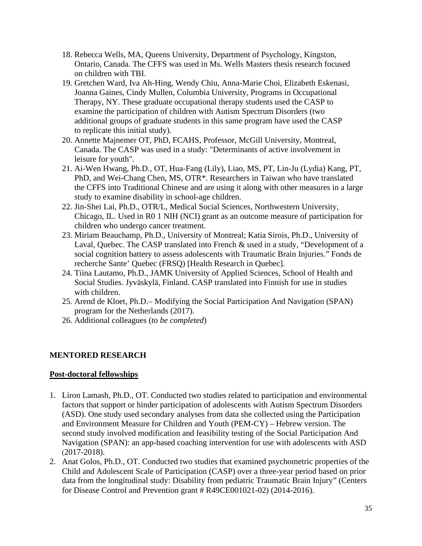- 18. Rebecca Wells, MA, Queens University, Department of Psychology, Kingston, Ontario, Canada. The CFFS was used in Ms. Wells Masters thesis research focused on children with TBI.
- 19. Gretchen Ward, Iva Ah-Hing, Wendy Chiu, Anna-Marie Choi, Elizabeth Eskenasi, Joanna Gaines, Cindy Mullen, Columbia University, Programs in Occupational Therapy, NY. These graduate occupational therapy students used the CASP to examine the participation of children with Autism Spectrum Disorders (two additional groups of graduate students in this same program have used the CASP to replicate this initial study).
- 20. Annette Majnemer OT, PhD, FCAHS, Professor, McGill University, Montreal, Canada. The CASP was used in a study: "Determinants of active involvement in leisure for youth".
- 21. Ai-Wen Hwang, Ph.D., OT, Hua-Fang (Lily), Liao, MS, PT, Lin-Ju (Lydia) Kang, PT, PhD, and Wei-Chang Chen, MS, OTR\*. Researchers in Taiwan who have translated the CFFS into Traditional Chinese and are using it along with other measures in a large study to examine disability in school-age children.
- 22. Jin-Shei Lai, Ph.D., OTR/L, Medical Social Sciences, Northwestern University, Chicago, IL. Used in R0 1 NIH (NCI) grant as an outcome measure of participation for children who undergo cancer treatment.
- 23. Miriam Beauchamp, Ph.D., University of Montreal; Katia Sirois, Ph.D., University of Laval, Quebec. The CASP translated into French & used in a study, "Development of a social cognition battery to assess adolescents with Traumatic Brain Injuries." Fonds de recherche Sante' Quebec (FRSQ) [Health Research in Quebec].
- 24. Tiina Lautamo, Ph.D., JAMK University of Applied Sciences, School of Health and Social Studies. Jyväskylä, Finland. CASP translated into Finnish for use in studies with children.
- 25. Arend de Kloet, Ph.D.– Modifying the Social Participation And Navigation (SPAN) program for the Netherlands (2017).
- 26. Additional colleagues (*to be completed*)

## **MENTORED RESEARCH**

## **Post-doctoral fellowships**

- 1. Liron Lamash, Ph.D., OT. Conducted two studies related to participation and environmental factors that support or hinder participation of adolescents with Autism Spectrum Disorders (ASD). One study used secondary analyses from data she collected using the Participation and Environment Measure for Children and Youth (PEM-CY) – Hebrew version. The second study involved modification and feasibility testing of the Social Participation And Navigation (SPAN): an app-based coaching intervention for use with adolescents with ASD (2017-2018).
- 2. Anat Golos, Ph.D., OT. Conducted two studies that examined psychometric properties of the Child and Adolescent Scale of Participation (CASP) over a three-year period based on prior data from the longitudinal study: Disability from pediatric Traumatic Brain Injury" (Centers for Disease Control and Prevention grant # R49CE001021-02) (2014-2016).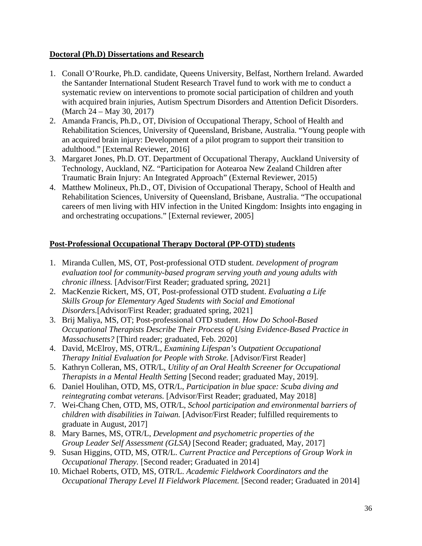#### **Doctoral (Ph.D) Dissertations and Research**

- 1. Conall O'Rourke, Ph.D. candidate, Queens University, Belfast, Northern Ireland. Awarded the Santander International Student Research Travel fund to work with me to conduct a systematic review on interventions to promote social participation of children and youth with acquired brain injuries, Autism Spectrum Disorders and Attention Deficit Disorders. (March 24 – May 30, 2017)
- 2. Amanda Francis, Ph.D., OT, Division of Occupational Therapy, School of Health and Rehabilitation Sciences, University of Queensland, Brisbane, Australia. "Young people with an acquired brain injury: Development of a pilot program to support their transition to adulthood." [External Reviewer, 2016]
- 3. Margaret Jones, Ph.D. OT. Department of Occupational Therapy, Auckland University of Technology, Auckland, NZ. "Participation for Aotearoa New Zealand Children after Traumatic Brain Injury: An Integrated Approach" (External Reviewer, 2015)
- 4. Matthew Molineux, Ph.D., OT, Division of Occupational Therapy, School of Health and Rehabilitation Sciences, University of Queensland, Brisbane, Australia. "The occupational careers of men living with HIV infection in the United Kingdom: Insights into engaging in and orchestrating occupations." [External reviewer, 2005]

## **Post-Professional Occupational Therapy Doctoral (PP-OTD) students**

- 1. Miranda Cullen, MS, OT, Post-professional OTD student. *Development of program evaluation tool for community-based program serving youth and young adults with chronic illness.* [Advisor/First Reader; graduated spring, 2021]
- 2. MacKenzie Rickert, MS, OT, Post-professional OTD student. *Evaluating a Life Skills Group for Elementary Aged Students with Social and Emotional Disorders.*[Advisor/First Reader; graduated spring, 2021]
- 3. Brij Maliya, MS, OT; Post-professional OTD student. *How Do School-Based Occupational Therapists Describe Their Process of Using Evidence-Based Practice in Massachusetts?* [Third reader; graduated, Feb. 2020]
- 4. David, McElroy, MS, OTR/L, *Examining Lifespan's Outpatient Occupational Therapy Initial Evaluation for People with Stroke.* [Advisor/First Reader]
- 5. Kathryn Colleran, MS, OTR/L, *Utility of an Oral Health Screener for Occupational Therapists in a Mental Health Setting* [Second reader; graduated May, 2019].
- 6. Daniel Houlihan, OTD, MS, OTR/L, *Participation in blue space: Scuba diving and reintegrating combat veterans.* [Advisor/First Reader; graduated, May 2018]
- 7. Wei-Chang Chen, OTD, MS, OTR/L, *School participation and environmental barriers of children with disabilities in Taiwan.* [Advisor/First Reader; fulfilled requirements to graduate in August, 2017]
- 8. Mary Barnes, MS, OTR/L, *Development and psychometric properties of the Group Leader Self Assessment (GLSA)* [Second Reader; graduated, May, 2017]
- 9. Susan Higgins, OTD, MS, OTR/L. *Current Practice and Perceptions of Group Work in Occupational Therapy.* [Second reader; Graduated in 2014]
- 10. Michael Roberts, OTD, MS, OTR/L. *Academic Fieldwork Coordinators and the Occupational Therapy Level II Fieldwork Placement.* [Second reader; Graduated in 2014]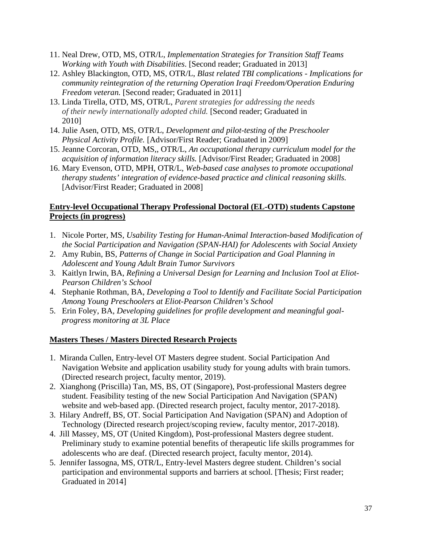- 11. Neal Drew, OTD, MS, OTR/L, *Implementation Strategies for Transition Staff Teams Working with Youth with Disabilities*. [Second reader; Graduated in 2013]
- 12. Ashley Blackington, OTD, MS, OTR/L, *Blast related TBI complications Implications for community reintegration of the returning Operation Iraqi Freedom/Operation Enduring Freedom veteran.* [Second reader; Graduated in 2011]
- 13. Linda Tirella, OTD, MS, OTR/L, *Parent strategies for addressing the needs of their newly internationally adopted child.* [Second reader; Graduated in 2010]
- 14. Julie Asen, OTD, MS, OTR/L, *Development and pilot-testing of the Preschooler Physical Activity Profile.* [Advisor/First Reader; Graduated in 2009]
- 15. Jeanne Corcoran, OTD, MS,, OTR/L, *An occupational therapy curriculum model for the acquisition of information literacy skills.* [Advisor/First Reader; Graduated in 2008]
- 16. Mary Evenson, OTD, MPH, OTR/L, *Web-based case analyses to promote occupational therapy students' integration of evidence-based practice and clinical reasoning skills.* [Advisor/First Reader; Graduated in 2008]

## **Entry-level Occupational Therapy Professional Doctoral (EL-OTD) students Capstone Projects (in progress)**

- 1. Nicole Porter, MS, *Usability Testing for Human-Animal Interaction-based Modification of the Social Participation and Navigation (SPAN-HAI) for Adolescents with Social Anxiety*
- 2. Amy Rubin, BS, *Patterns of Change in Social Participation and Goal Planning in Adolescent and Young Adult Brain Tumor Survivors*
- 3. Kaitlyn Irwin, BA, *Refining a Universal Design for Learning and Inclusion Tool at Eliot-Pearson Children's School*
- 4. Stephanie Rothman, BA, *Developing a Tool to Identify and Facilitate Social Participation Among Young Preschoolers at Eliot-Pearson Children's School*
- 5. Erin Foley, BA, *Developing guidelines for profile development and meaningful goalprogress monitoring at 3L Place*

# **Masters Theses / Masters Directed Research Projects**

- 1. Miranda Cullen, Entry-level OT Masters degree student. Social Participation And Navigation Website and application usability study for young adults with brain tumors. (Directed research project, faculty mentor, 2019).
- 2. Xianghong (Priscilla) Tan, MS, BS, OT (Singapore), Post-professional Masters degree student. Feasibility testing of the new Social Participation And Navigation (SPAN) website and web-based app. (Directed research project, faculty mentor, 2017-2018).
- 3. Hilary Andreff, BS, OT. Social Participation And Navigation (SPAN) and Adoption of Technology (Directed research project/scoping review, faculty mentor, 2017-2018).
- 4. Jill Massey, MS, OT (United Kingdom), Post-professional Masters degree student. Preliminary study to examine potential benefits of therapeutic life skills programmes for adolescents who are deaf. (Directed research project, faculty mentor, 2014).
- 5. Jennifer Iassogna, MS, OTR/L, Entry-level Masters degree student. Children's social participation and environmental supports and barriers at school. [Thesis; First reader; Graduated in 2014]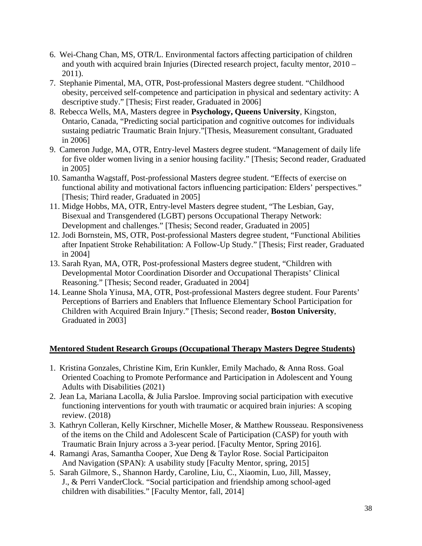- 6. Wei-Chang Chan, MS, OTR/L. Environmental factors affecting participation of children and youth with acquired brain Injuries (Directed research project, faculty mentor, 2010 – 2011).
- 7. Stephanie Pimental, MA, OTR, Post-professional Masters degree student. "Childhood obesity, perceived self-competence and participation in physical and sedentary activity: A descriptive study." [Thesis; First reader, Graduated in 2006]
- 8. Rebecca Wells, MA, Masters degree in **Psychology, Queens University**, Kingston, Ontario, Canada, "Predicting social participation and cognitive outcomes for individuals sustaing pediatric Traumatic Brain Injury."[Thesis, Measurement consultant, Graduated in 2006]
- 9. Cameron Judge, MA, OTR, Entry-level Masters degree student. "Management of daily life for five older women living in a senior housing facility." [Thesis; Second reader, Graduated in 2005]
- 10. Samantha Wagstaff, Post-professional Masters degree student. "Effects of exercise on functional ability and motivational factors influencing participation: Elders' perspectives." [Thesis; Third reader, Graduated in 2005]
- 11. Midge Hobbs, MA, OTR, Entry-level Masters degree student, "The Lesbian, Gay, Bisexual and Transgendered (LGBT) persons Occupational Therapy Network: Development and challenges." [Thesis; Second reader, Graduated in 2005]
- 12. Jodi Bornstein, MS, OTR, Post-professional Masters degree student, "Functional Abilities after Inpatient Stroke Rehabilitation: A Follow-Up Study." [Thesis; First reader, Graduated in 2004]
- 13. Sarah Ryan, MA, OTR, Post-professional Masters degree student, "Children with Developmental Motor Coordination Disorder and Occupational Therapists' Clinical Reasoning." [Thesis; Second reader, Graduated in 2004]
- 14. Leanne Shola Yinusa, MA, OTR, Post-professional Masters degree student. Four Parents' Perceptions of Barriers and Enablers that Influence Elementary School Participation for Children with Acquired Brain Injury." [Thesis; Second reader, **Boston University**, Graduated in 2003]

## **Mentored Student Research Groups (Occupational Therapy Masters Degree Students)**

- 1. Kristina Gonzales, Christine Kim, Erin Kunkler, Emily Machado, & Anna Ross. Goal Oriented Coaching to Promote Performance and Participation in Adolescent and Young Adults with Disabilities (2021)
- 2. Jean La, Mariana Lacolla, & Julia Parsloe. Improving social participation with executive functioning interventions for youth with traumatic or acquired brain injuries: A scoping review. (2018)
- 3. Kathryn Colleran, Kelly Kirschner, Michelle Moser, & Matthew Rousseau. Responsiveness of the items on the Child and Adolescent Scale of Participation (CASP) for youth with Traumatic Brain Injury across a 3-year period. [Faculty Mentor, Spring 2016].
- 4. Ramangi Aras, Samantha Cooper, Xue Deng & Taylor Rose. Social Participaiton And Navigation (SPAN): A usability study [Faculty Mentor, spring, 2015]
- 5. Sarah Gilmore, S., Shannon Hardy, Caroline, Liu, C., Xiaomin, Luo, Jill, Massey, J., & Perri VanderClock. "Social participation and friendship among school-aged children with disabilities." [Faculty Mentor, fall, 2014]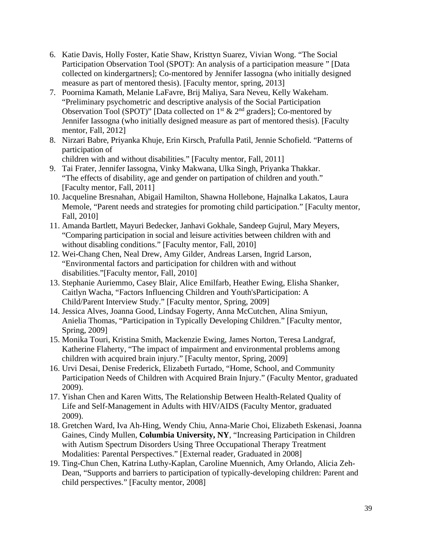- 6. Katie Davis, Holly Foster, Katie Shaw, Kristtyn Suarez, Vivian Wong. "The Social Participation Observation Tool (SPOT): An analysis of a participation measure " [Data collected on kindergartners]; Co-mentored by Jennifer Iassogna (who initially designed measure as part of mentored thesis). [Faculty mentor, spring, 2013]
- 7. Poornima Kamath, Melanie LaFavre, Brij Maliya, Sara Neveu, Kelly Wakeham. "Preliminary psychometric and descriptive analysis of the Social Participation Observation Tool (SPOT)" [Data collected on  $1<sup>st</sup>$  &  $2<sup>nd</sup>$  graders]; Co-mentored by Jennifer Iassogna (who initially designed measure as part of mentored thesis). [Faculty mentor, Fall, 2012]
- 8. Nirzari Babre, Priyanka Khuje, Erin Kirsch, Prafulla Patil, Jennie Schofield. "Patterns of participation of

children with and without disabilities." [Faculty mentor, Fall, 2011]

- 9. Tai Frater, Jennifer Iassogna, Vinky Makwana, Ulka Singh, Priyanka Thakkar. "The effects of disability, age and gender on partipation of children and youth." [Faculty mentor, Fall, 2011]
- 10. Jacqueline Bresnahan, Abigail Hamilton, Shawna Hollebone, Hajnalka Lakatos, Laura Memole, "Parent needs and strategies for promoting child participation." [Faculty mentor, Fall, 2010]
- 11. Amanda Bartlett, Mayuri Bedecker, Janhavi Gokhale, Sandeep Gujrul, Mary Meyers, "Comparing participation in social and leisure activities between children with and without disabling conditions." [Faculty mentor, Fall, 2010]
- 12. Wei-Chang Chen, Neal Drew, Amy Gilder, Andreas Larsen, Ingrid Larson, "Environmental factors and participation for children with and without disabilities."[Faculty mentor, Fall, 2010]
- 13. Stephanie Auriemmo, Casey Blair, Alice Emilfarb, Heather Ewing, Elisha Shanker, Caitlyn Wacha, "Factors Influencing Children and Youth'sParticipation: A Child/Parent Interview Study." [Faculty mentor, Spring, 2009]
- 14. Jessica Alves, Joanna Good, Lindsay Fogerty, Anna McCutchen, Alina Smiyun, Anielia Thomas, "Participation in Typically Developing Children." [Faculty mentor, Spring, 2009]
- 15. Monika Touri, Kristina Smith, Mackenzie Ewing, James Norton, Teresa Landgraf, Katherine Flaherty, "The impact of impairment and environmental problems among children with acquired brain injury." [Faculty mentor, Spring, 2009]
- 16. Urvi Desai, Denise Frederick, Elizabeth Furtado, "Home, School, and Community Participation Needs of Children with Acquired Brain Injury." (Faculty Mentor, graduated 2009).
- 17. Yishan Chen and Karen Witts, The Relationship Between Health-Related Quality of Life and Self-Management in Adults with HIV/AIDS (Faculty Mentor, graduated 2009).
- 18. Gretchen Ward, Iva Ah-Hing, Wendy Chiu, Anna-Marie Choi, Elizabeth Eskenasi, Joanna Gaines, Cindy Mullen, **Columbia University, NY**, "Increasing Participation in Children with Autism Spectrum Disorders Using Three Occupational Therapy Treatment Modalities: Parental Perspectives." [External reader, Graduated in 2008]
- 19. Ting-Chun Chen, Katrina Luthy-Kaplan, Caroline Muennich, Amy Orlando, Alicia Zeh-Dean, "Supports and barriers to participation of typically-developing children: Parent and child perspectives." [Faculty mentor, 2008]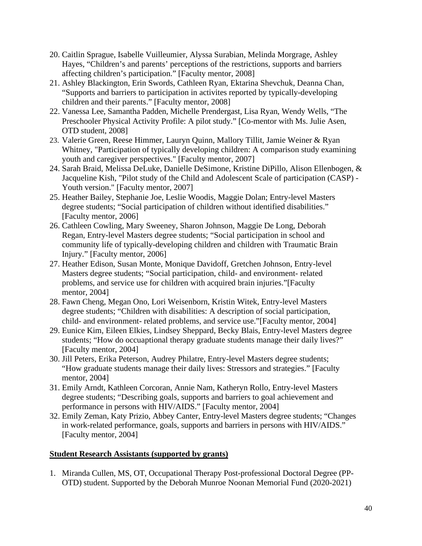- 20. Caitlin Sprague, Isabelle Vuilleumier, Alyssa Surabian, Melinda Morgrage, Ashley Hayes, "Children's and parents' perceptions of the restrictions, supports and barriers affecting children's participation." [Faculty mentor, 2008]
- 21. Ashley Blackington, Erin Swords, Cathleen Ryan, Ektarina Shevchuk, Deanna Chan, "Supports and barriers to participation in activites reported by typically-developing children and their parents." [Faculty mentor, 2008]
- 22. Vanessa Lee, Samantha Padden, Michelle Prendergast, Lisa Ryan, Wendy Wells, "The Preschooler Physical Activity Profile: A pilot study." [Co-mentor with Ms. Julie Asen, OTD student, 2008]
- 23. Valerie Green, Reese Himmer, Lauryn Quinn, Mallory Tillit, Jamie Weiner & Ryan Whitney, "Participation of typically developing children: A comparison study examining youth and caregiver perspectives." [Faculty mentor, 2007]
- 24. Sarah Braid, Melissa DeLuke, Danielle DeSimone, Kristine DiPillo, Alison Ellenbogen, & Jacqueline Kish, "Pilot study of the Child and Adolescent Scale of participation (CASP) - Youth version." [Faculty mentor, 2007]
- 25. Heather Bailey, Stephanie Joe, Leslie Woodis, Maggie Dolan; Entry-level Masters degree students; "Social participation of children without identified disabilities." [Faculty mentor, 2006]
- 26. Cathleen Cowling, Mary Sweeney, Sharon Johnson, Maggie De Long, Deborah Regan, Entry-level Masters degree students; "Social participation in school and community life of typically-developing children and children with Traumatic Brain Injury." [Faculty mentor, 2006]
- 27. Heather Edison, Susan Monte, Monique Davidoff, Gretchen Johnson, Entry-level Masters degree students; "Social participation, child- and environment- related problems, and service use for children with acquired brain injuries."[Faculty mentor, 2004]
- 28. Fawn Cheng, Megan Ono, Lori Weisenborn, Kristin Witek, Entry-level Masters degree students; "Children with disabilities: A description of social participation, child- and environment- related problems, and service use."[Faculty mentor, 2004]
- 29. Eunice Kim, Eileen Elkies, Lindsey Sheppard, Becky Blais, Entry-level Masters degree students; "How do occuaptional therapy graduate students manage their daily lives?" [Faculty mentor, 2004]
- 30. Jill Peters, Erika Peterson, Audrey Philatre, Entry-level Masters degree students; "How graduate students manage their daily lives: Stressors and strategies." [Faculty mentor, 2004]
- 31. Emily Arndt, Kathleen Corcoran, Annie Nam, Katheryn Rollo, Entry-level Masters degree students; "Describing goals, supports and barriers to goal achievement and performance in persons with HIV/AIDS." [Faculty mentor, 2004]
- 32. Emily Zeman, Katy Prizio, Abbey Canter, Entry-level Masters degree students; "Changes in work-related performance, goals, supports and barriers in persons with HIV/AIDS." [Faculty mentor, 2004]

## **Student Research Assistants (supported by grants)**

1. Miranda Cullen, MS, OT, Occupational Therapy Post-professional Doctoral Degree (PP-OTD) student. Supported by the Deborah Munroe Noonan Memorial Fund (2020-2021)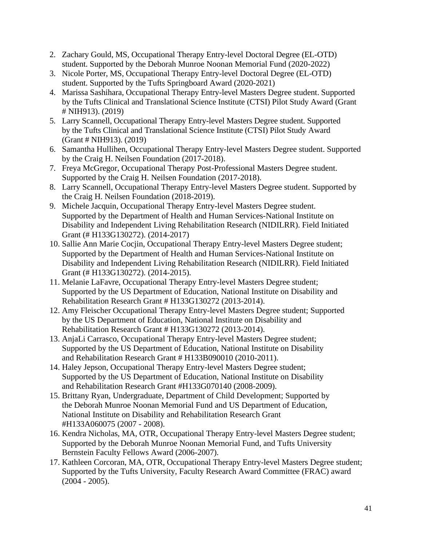- 2. Zachary Gould, MS, Occupational Therapy Entry-level Doctoral Degree (EL-OTD) student. Supported by the Deborah Munroe Noonan Memorial Fund (2020-2022)
- 3. Nicole Porter, MS, Occupational Therapy Entry-level Doctoral Degree (EL-OTD) student. Supported by the Tufts Springboard Award (2020-2021)
- 4. Marissa Sashihara, Occupational Therapy Entry-level Masters Degree student. Supported by the Tufts Clinical and Translational Science Institute (CTSI) Pilot Study Award (Grant # NIH913). (2019)
- 5. Larry Scannell, Occupational Therapy Entry-level Masters Degree student. Supported by the Tufts Clinical and Translational Science Institute (CTSI) Pilot Study Award (Grant # NIH913). (2019)
- 6. Samantha Hullihen, Occupational Therapy Entry-level Masters Degree student. Supported by the Craig H. Neilsen Foundation (2017-2018).
- 7. Freya McGregor, Occupational Therapy Post-Professional Masters Degree student. Supported by the Craig H. Neilsen Foundation (2017-2018).
- 8. Larry Scannell, Occupational Therapy Entry-level Masters Degree student. Supported by the Craig H. Neilsen Foundation (2018-2019).
- 9. Michele Jacquin, Occupational Therapy Entry-level Masters Degree student. Supported by the Department of Health and Human Services-National Institute on Disability and Independent Living Rehabilitation Research (NIDILRR). Field Initiated Grant (# H133G130272). (2014-2017)
- 10. Sallie Ann Marie Cocjin, Occupational Therapy Entry-level Masters Degree student; Supported by the Department of Health and Human Services-National Institute on Disability and Independent Living Rehabilitation Research (NIDILRR). Field Initiated Grant (# H133G130272). (2014-2015).
- 11. Melanie LaFavre, Occupational Therapy Entry-level Masters Degree student; Supported by the US Department of Education, National Institute on Disability and Rehabilitation Research Grant # H133G130272 (2013-2014).
- 12. Amy Fleischer Occupational Therapy Entry-level Masters Degree student; Supported by the US Department of Education, National Institute on Disability and Rehabilitation Research Grant # H133G130272 (2013-2014).
- 13. AnjaLi Carrasco, Occupational Therapy Entry-level Masters Degree student; Supported by the US Department of Education, National Institute on Disability and Rehabilitation Research Grant # H133B090010 (2010-2011).
- 14. Haley Jepson, Occupational Therapy Entry-level Masters Degree student; Supported by the US Department of Education, National Institute on Disability and Rehabilitation Research Grant #H133G070140 (2008-2009).
- 15. Brittany Ryan, Undergraduate, Department of Child Development; Supported by the Deborah Munroe Noonan Memorial Fund and US Department of Education, National Institute on Disability and Rehabilitation Research Grant #H133A060075 (2007 - 2008).
- 16. Kendra Nicholas, MA, OTR, Occupational Therapy Entry-level Masters Degree student; Supported by the Deborah Munroe Noonan Memorial Fund, and Tufts University Bernstein Faculty Fellows Award (2006-2007).
- 17. Kathleen Corcoran, MA, OTR, Occupational Therapy Entry-level Masters Degree student; Supported by the Tufts University, Faculty Research Award Committee (FRAC) award (2004 - 2005).